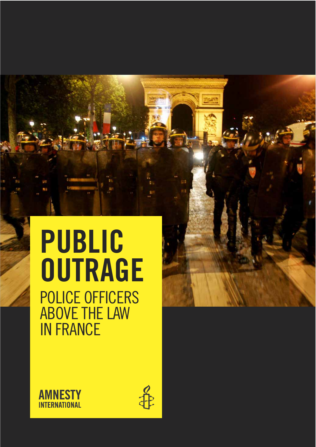# PUBLIC **OUTRAGE** POLICE OFFICERS ABOVE THE LAW IN FRANCE



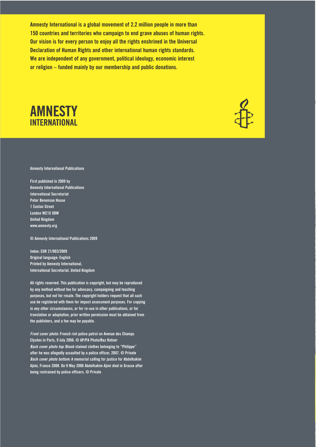Amnesty International is a global movement of 2.2 million people in more than 150 countries and territories who campaign to end grave abuses of human rights. Our vision is for every person to enjoy all the rights enshrined in the Universal Declaration of Human Rights and other international human rights standards. We are independent of any government, political ideology, economic interest or religion – funded mainly by our membership and public donations.





Amnesty International Publications

First published in 2009 by Amnesty International Publications International Secretariat Peter Benenson House 1 Easton Street London WC1X 0DW United Kingdom www.amnesty.org

© Amnesty International Publications 2009

Index: EUR 21/003/2009 Original language: English Printed by Amnesty International, International Secretariat, United Kingdom

All rights reserved. This publication is copyright, but may be reproduced by any method without fee for advocacy, campaigning and teaching purposes, but not for resale. The copyright holders request that all such use be registered with them for impact assessment purposes. For copying in any other circumstances, or for re-use in other publications, or for translation or adaptation, prior written permission must be obtained from the publishers, and a fee may be payable.

Front cover photo: French riot police patrol on Avenue des Champs Elysées in Paris, 9 July 2006. © AP/PA Photo/Baz Ratner Back cover photo top: Blood-stained clothes belonging to "Philippe" after he was allegedly assaulted by a police officer, 2007. © Private Back cover photo bottom: A memorial calling for justice for Abdelhakim Ajimi, France 2008. On 9 May 2008 Abdelhakim Ajimi died in Grasse after being restrained by police officers. © Private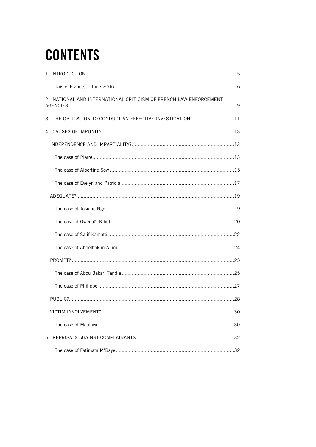## **CONTENTS**

| 2. NATIONAL AND INTERNATIONAL CRITICISM OF FRENCH LAW ENFORCEMENT |
|-------------------------------------------------------------------|
| 3. THE OBLIGATION TO CONDUCT AN EFFECTIVE INVESTIGATION11         |
|                                                                   |
|                                                                   |
|                                                                   |
|                                                                   |
|                                                                   |
|                                                                   |
|                                                                   |
|                                                                   |
|                                                                   |
|                                                                   |
|                                                                   |
|                                                                   |
|                                                                   |
|                                                                   |
|                                                                   |
|                                                                   |
|                                                                   |
|                                                                   |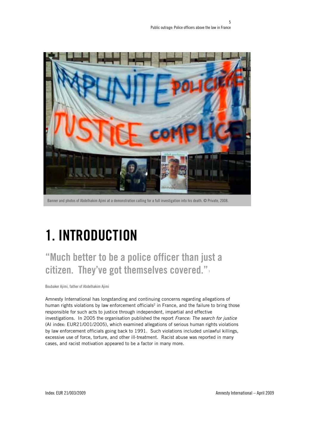

Banner and photos of Abdelhakim Ajimi at a demonstration calling for a full investigation into his death. © Private, 2008.

## 1. INTRODUCTION

"Much better to be a police officer than just a citizen. They've got themselves covered.".

Boubaker Ajimi, father of Abdelhakim Ajimi

Amnesty International has longstanding and continuing concerns regarding allegations of human rights violations by law enforcement officials<sup>2</sup> in France, and the failure to bring those responsible for such acts to justice through independent, impartial and effective investigations. In 2005 the organisation published the report France: The search for justice (AI index: EUR21/001/2005), which examined allegations of serious human rights violations by law enforcement officials going back to 1991. Such violations included unlawful killings, excessive use of force, torture, and other ill-treatment. Racist abuse was reported in many cases, and racist motivation appeared to be a factor in many more.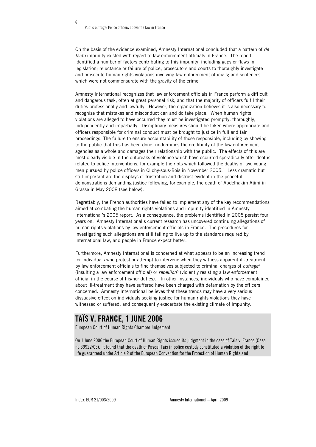6

On the basis of the evidence examined, Amnesty International concluded that a pattern of de facto impunity existed with regard to law enforcement officials in France. The report identified a number of factors contributing to this impunity, including gaps or flaws in legislation; reluctance or failure of police, prosecutors and courts to thoroughly investigate and prosecute human rights violations involving law enforcement officials; and sentences which were not commensurate with the gravity of the crime.

Amnesty International recognizes that law enforcement officials in France perform a difficult and dangerous task, often at great personal risk, and that the majority of officers fulfil their duties professionally and lawfully. However, the organization believes it is also necessary to recognize that mistakes and misconduct can and do take place. When human rights violations are alleged to have occurred they must be investigated promptly, thoroughly, independently and impartially. Disciplinary measures should be taken where appropriate and officers responsible for criminal conduct must be brought to justice in full and fair proceedings. The failure to ensure accountability of those responsible, including by showing to the public that this has been done, undermines the credibility of the law enforcement agencies as a whole and damages their relationship with the public. The effects of this are most clearly visible in the outbreaks of violence which have occurred sporadically after deaths related to police interventions, for example the riots which followed the deaths of two young men pursued by police officers in Clichy-sous-Bois in November 2005.3 Less dramatic but still important are the displays of frustration and distrust evident in the peaceful demonstrations demanding justice following, for example, the death of Abdelhakim Ajimi in Grasse in May 2008 (see below).

Regrettably, the French authorities have failed to implement any of the key recommendations aimed at combating the human rights violations and impunity identified in Amnesty International's 2005 report. As a consequence, the problems identified in 2005 persist four years on. Amnesty International's current research has uncovered continuing allegations of human rights violations by law enforcement officials in France. The procedures for investigating such allegations are still failing to live up to the standards required by international law, and people in France expect better.

Furthermore, Amnesty International is concerned at what appears to be an increasing trend for individuals who protest or attempt to intervene when they witness apparent ill-treatment by law enforcement officials to find themselves subjected to criminal charges of *outrage*<sup>4</sup> (insulting a law enforcement official) or *rebellion*<sup>5</sup> (violently resisting a law enforcement official in the course of his/her duties). In other instances, individuals who have complained about ill-treatment they have suffered have been charged with defamation by the officers concerned. Amnesty International believes that these trends may have a very serious dissuasive effect on individuals seeking justice for human rights violations they have witnessed or suffered, and consequently exacerbate the existing climate of impunity.

#### TAÏS V. FRANCE, 1 JUNE 2006

European Court of Human Rights Chamber Judgement

On 1 June 2006 the European Court of Human Rights issued its judgment in the case of Taïs v. France (Case no 39922/03). It found that the death of Pascal Taïs in police custody constituted a violation of the right to life guaranteed under Article 2 of the European Convention for the Protection of Human Rights and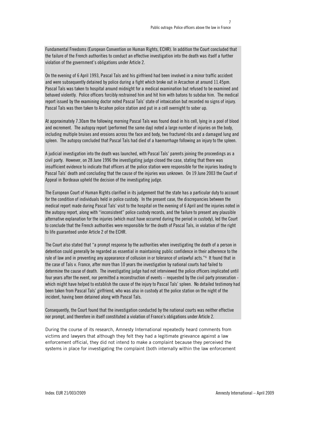Fundamental Freedoms (European Convention on Human Rights, ECHR). In addition the Court concluded that the failure of the French authorities to conduct an effective investigation into the death was itself a further violation of the government's obligations under Article 2.

On the evening of 6 April 1993, Pascal Taïs and his girlfriend had been involved in a minor traffic accident and were subsequently detained by police during a fight which broke out in Arcachon at around 11.45pm. Pascal Taïs was taken to hospital around midnight for a medical examination but refused to be examined and behaved violently. Police officers forcibly restrained him and hit him with batons to subdue him. The medical report issued by the examining doctor noted Pascal Taïs' state of intoxication but recorded no signs of injury. Pascal Taïs was then taken to Arcahon police station and put in a cell overnight to sober up.

At approximately 7.30am the following morning Pascal Taïs was found dead in his cell, lying in a pool of blood and excrement. The autopsy report (performed the same day) noted a large number of injuries on the body, including multiple bruises and erosions across the face and body, two fractured ribs and a damaged lung and spleen. The autopsy concluded that Pascal Taïs had died of a haemorrhage following an injury to the spleen.

A judicial investigation into the death was launched, with Pascal Taïs' parents joining the proceedings as a civil party. However, on 28 June 1996 the investigating judge closed the case, stating that there was insufficient evidence to indicate that officers at the police station were responsible for the injuries leading to Pascal Taïs' death and concluding that the cause of the injuries was unknown. On 19 June 2003 the Court of Appeal in Bordeaux upheld the decision of the investigating judge.

The European Court of Human Rights clarified in its judgement that the state has a particular duty to account for the condition of individuals held in police custody. In the present case, the discrepancies between the medical report made during Pascal Taïs' visit to the hospital on the evening of 6 April and the injuries noted in the autopsy report, along with "inconsistent" police custody records, and the failure to present any plausible alternative explanation for the injuries (which must have occurred during the period in custody), led the Court to conclude that the French authorities were responsible for the death of Pascal Taïs, in violation of the right to life guaranteed under Article 2 of the ECHR.

The Court also stated that "a prompt response by the authorities when investigating the death of a person in detention could generally be regarded as essential in maintaining public confidence in their adherence to the rule of law and in preventing any appearance of collusion in or tolerance of unlawful acts."<sup>6</sup> It found that in the case of Taïs v. France, after more than 10 years the investigation by national courts had failed to determine the cause of death. The investigating judge had not interviewed the police officers implicated until four years after the event, nor permitted a reconstruction of events – requested by the civil party prosecution which might have helped to establish the cause of the injury to Pascal Taïs' spleen. No detailed testimony had been taken from Pascal Taïs' girlfriend, who was also in custody at the police station on the night of the incident, having been detained along with Pascal Taïs.

Consequently, the Court found that the investigation conducted by the national courts was neither effective nor prompt, and therefore in itself constituted a violation of France's obligations under Article 2.

During the course of its research, Amnesty International repeatedly heard comments from victims and lawyers that although they felt they had a legitimate grievance against a law enforcement official, they did not intend to make a complaint because they perceived the systems in place for investigating the complaint (both internally within the law enforcement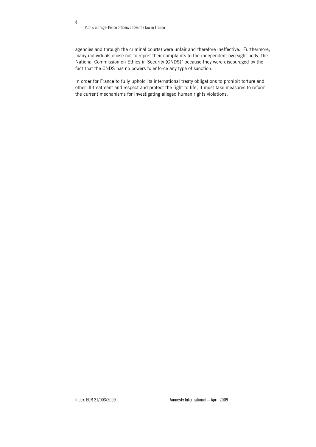Public outrage: Police officers above the law in France

8

agencies and through the criminal courts) were unfair and therefore ineffective. Furthermore, many individuals chose not to report their complaints to the independent oversight body, the National Commission on Ethics in Security (CNDS)7 because they were discouraged by the fact that the CNDS has no powers to enforce any type of sanction.

In order for France to fully uphold its international treaty obligations to prohibit torture and other ill-treatment and respect and protect the right to life, it must take measures to reform the current mechanisms for investigating alleged human rights violations.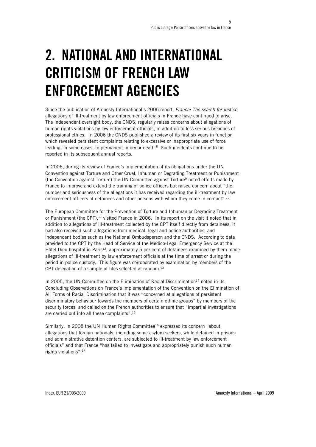## 2. NATIONAL AND INTERNATIONAL CRITICISM OF FRENCH LAW ENFORCEMENT AGENCIES

Since the publication of Amnesty International's 2005 report, France: The search for justice, allegations of ill-treatment by law enforcement officials in France have continued to arise. The independent oversight body, the CNDS, regularly raises concerns about allegations of human rights violations by law enforcement officials, in addition to less serious breaches of professional ethics. In 2006 the CNDS published a review of its first six years in function which revealed persistent complaints relating to excessive or inappropriate use of force leading, in some cases, to permanent injury or death. $8$  Such incidents continue to be reported in its subsequent annual reports.

In 2006, during its review of France's implementation of its obligations under the UN Convention against Torture and Other Cruel, Inhuman or Degrading Treatment or Punishment (the Convention against Torture) the UN Committee against Torture<sup>9</sup> noted efforts made by France to improve and extend the training of police officers but raised concern about "the number and seriousness of the allegations it has received regarding the ill-treatment by law enforcement officers of detainees and other persons with whom they come in contact".<sup>10</sup>

The European Committee for the Prevention of Torture and Inhuman or Degrading Treatment or Punishment (the CPT), $11$  visited France in 2006. In its report on the visit it noted that in addition to allegations of ill-treatment collected by the CPT itself directly from detainees, it had also received such allegations from medical, legal and police authorities, and independent bodies such as the National Ombudsperson and the CNDS. According to data provided to the CPT by the Head of Service of the Medico-Legal Emergency Service at the Hôtel Dieu hospital in Paris<sup>12</sup>, approximately 5 per cent of detainees examined by them made allegations of ill-treatment by law enforcement officials at the time of arrest or during the period in police custody. This figure was corroborated by examination by members of the CPT delegation of a sample of files selected at random.<sup>13</sup>

In 2005, the UN Committee on the Elimination of Racial Discrimination<sup>14</sup> noted in its Concluding Observations on France's implementation of the Convention on the Elimination of All Forms of Racial Discrimination that it was "concerned at allegations of persistent discriminatory behaviour towards the members of certain ethnic groups" by members of the security forces, and called on the French authorities to ensure that "impartial investigations are carried out into all these complaints".15

Similarly, in 2008 the UN Human Rights Committee<sup>16</sup> expressed its concern "about allegations that foreign nationals, including some asylum seekers, while detained in prisons and administrative detention centers, are subjected to ill-treatment by law enforcement officials" and that France "has failed to investigate and appropriately punish such human rights violations".17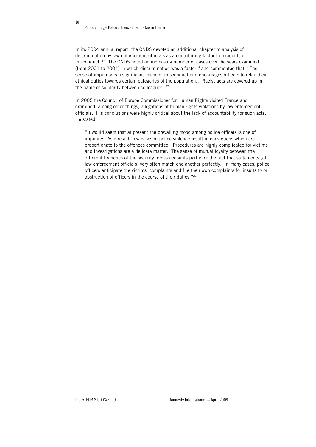In its 2004 annual report, the CNDS devoted an additional chapter to analysis of discrimination by law enforcement officials as a contributing factor to incidents of misconduct. 18 The CNDS noted an increasing number of cases over the years examined (from 2001 to 2004) in which discrimination was a factor<sup>19</sup> and commented that: "The sense of impunity is a significant cause of misconduct and encourages officers to relax their ethical duties towards certain categories of the population… Racist acts are covered up in the name of solidarity between colleagues".20

In 2005 the Council of Europe Commissioner for Human Rights visited France and examined, among other things, allegations of human rights violations by law enforcement officials. His conclusions were highly critical about the lack of accountability for such acts. He stated:

"It would seem that at present the prevailing mood among police officers is one of impunity. As a result, few cases of police violence result in convictions which are proportionate to the offences committed. Procedures are highly complicated for victims and investigations are a delicate matter. The sense of mutual loyalty between the different branches of the security forces accounts partly for the fact that statements [of law enforcement officials] very often match one another perfectly. In many cases, police officers anticipate the victims' complaints and file their own complaints for insults to or obstruction of officers in the course of their duties."21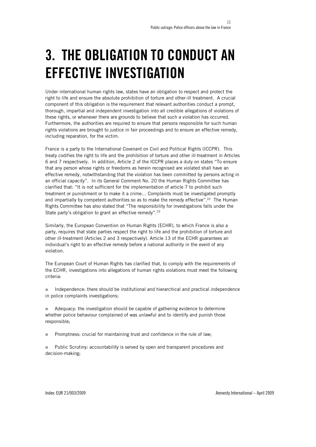## 3. THE OBLIGATION TO CONDUCT AN EFFECTIVE INVESTIGATION

Under international human rights law, states have an obligation to respect and protect the right to life and ensure the absolute prohibition of torture and other-ill treatment. A crucial component of this obligation is the requirement that relevant authorities conduct a prompt, thorough, impartial and independent investigation into all credible allegations of violations of these rights, or whenever there are grounds to believe that such a violation has occurred. Furthermore, the authorities are required to ensure that persons responsible for such human rights violations are brought to justice in fair proceedings and to ensure an effective remedy, including reparation, for the victim.

France is a party to the International Covenant on Civil and Political Rights (ICCPR). This treaty codifies the right to life and the prohibition of torture and other ill-treatment in Articles 6 and 7 respectively. In addition, Article 2 of the ICCPR places a duty on states "To ensure that any person whose rights or freedoms as herein recognised are violated shall have an effective remedy, notwithstanding that the violation has been committed by persons acting in an official capacity". In its General Comment No. 20 the Human Rights Committee has clarified that: "It is not sufficient for the implementation of article 7 to prohibit such treatment or punishment or to make it a crime… Complaints must be investigated promptly and impartially by competent authorities so as to make the remedy effective".22 The Human Rights Committee has also stated that "The responsibility for investigations falls under the State party's obligation to grant an effective remedy".<sup>23</sup>

Similarly, the European Convention on Human Rights (ECHR), to which France is also a party, requires that state parties respect the right to life and the prohibition of torture and other ill-treatment (Articles 2 and 3 respectively). Article 13 of the ECHR guarantees an individual's right to an effective remedy before a national authority in the event of any violation.

The European Court of Human Rights has clarified that, to comply with the requirements of the ECHR, investigations into allegations of human rights violations must meet the following criteria:

 $\blacksquare$  Independence: there should be institutional and hierarchical and practical independence in police complaints investigations;

Adequacy: the investigation should be capable of gathering evidence to determine whether police behaviour complained of was unlawful and to identify and punish those responsible;

 $\blacksquare$  Promptness: crucial for maintaining trust and confidence in the rule of law;

 Public Scrutiny: accountability is served by open and transparent procedures and decision-making;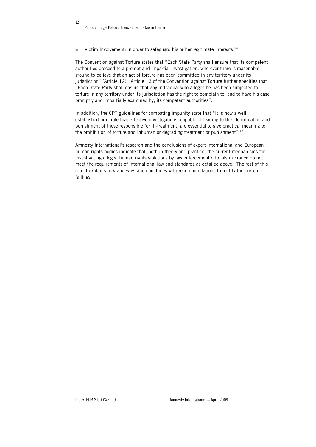$\blacksquare$  Victim Involvement: in order to safeguard his or her legitimate interests.<sup>24</sup>

The Convention against Torture states that "Each State Party shall ensure that its competent authorities proceed to a prompt and impartial investigation, wherever there is reasonable ground to believe that an act of torture has been committed in any territory under its jurisdiction" (Article 12). Article 13 of the Convention against Torture further specifies that "Each State Party shall ensure that any individual who alleges he has been subjected to torture in any territory under its jurisdiction has the right to complain to, and to have his case promptly and impartially examined by, its competent authorities".

In addition, the CPT guidelines for combating impunity state that "It is now a well established principle that effective investigations, capable of leading to the identification and punishment of those responsible for ill-treatment, are essential to give practical meaning to the prohibition of torture and inhuman or degrading treatment or punishment".<sup>25</sup>

Amnesty International's research and the conclusions of expert international and European human rights bodies indicate that, both in theory and practice, the current mechanisms for investigating alleged human rights violations by law enforcement officials in France do not meet the requirements of international law and standards as detailed above. The rest of this report explains how and why, and concludes with recommendations to rectify the current failings.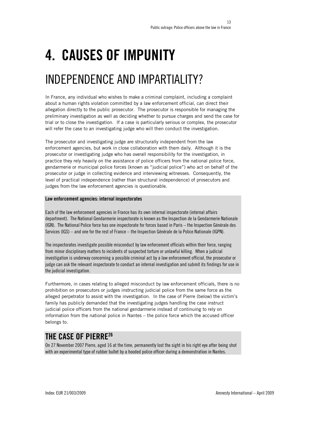## 4. CAUSES OF IMPUNITY

### INDEPENDENCE AND IMPARTIALITY?

In France, any individual who wishes to make a criminal complaint, including a complaint about a human rights violation committed by a law enforcement official, can direct their allegation directly to the public prosecutor. The prosecutor is responsible for managing the preliminary investigation as well as deciding whether to pursue charges and send the case for trial or to close the investigation. If a case is particularly serious or complex, the prosecutor will refer the case to an investigating judge who will then conduct the investigation.

The prosecutor and investigating judge are structurally independent from the law enforcement agencies, but work in close collaboration with them daily. Although it is the prosecutor or investigating judge who has overall responsibility for the investigation, in practice they rely heavily on the assistance of police officers from the national police force, gendarmerie or municipal police forces (known as "judicial police") who act on behalf of the prosecutor or judge in collecting evidence and interviewing witnesses. Consequently, the level of practical independence (rather than structural independence) of prosecutors and judges from the law enforcement agencies is questionable.

#### Law enforcement agencies: internal inspectorates

Each of the law enforcement agencies in France has its own internal inspectorate (internal affairs department). The National Gendarmerie inspectorate is known as the Inspection de la Gendarmerie Nationale (IGN). The National Police force has one inspectorate for forces based in Paris – the Inspection Générale des Services (IGS) – and one for the rest of France – the Inspection Générale de la Police Nationale (IGPN).

The inspectorates investigate possible misconduct by law enforcement officials within their force, ranging from minor disciplinary matters to incidents of suspected torture or unlawful killing. When a judicial investigation is underway concerning a possible criminal act by a law enforcement official, the prosecutor or judge can ask the relevant inspectorate to conduct an internal investigation and submit its findings for use in the judicial investigation.

Furthermore, in cases relating to alleged misconduct by law enforcement officials, there is no prohibition on prosecutors or judges instructing judicial police from the same force as the alleged perpetrator to assist with the investigation. In the case of Pierre (below) the victim's family has publicly demanded that the investigating judges handling the case instruct judicial police officers from the national gendarmerie instead of continuing to rely on information from the national police in Nantes – the police force which the accused officer belongs to.

### THE CASE OF PIERRE26

On 27 November 2007 Pierre, aged 16 at the time, permanently lost the sight in his right eye after being shot with an experimental type of rubber bullet by a hooded police officer during a demonstration in Nantes.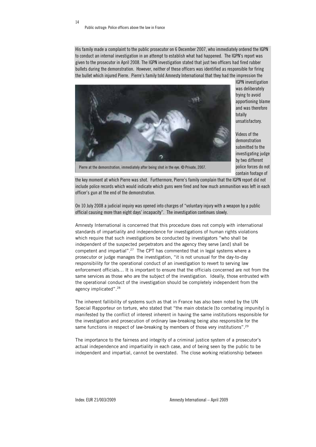14

His family made a complaint to the public prosecutor on 6 December 2007, who immediately ordered the IGPN to conduct an internal investigation in an attempt to establish what had happened. The IGPN's report was given to the prosecutor in April 2008. The IGPN investigation stated that just two officers had fired rubber bullets during the demonstration. However, neither of these officers was identified as responsible for firing the bullet which injured Pierre. Pierre's family told Amnesty International that they had the impression the



IGPN investigation was deliberately trying to avoid apportioning blame and was therefore totally unsatisfactory.

Videos of the demonstration submitted to the investigating judge by two different police forces do not contain footage of

Pierre at the demonstration, immediately after being shot in the eye. © Private, 2007.

the key moment at which Pierre was shot. Furthermore, Pierre's family complain that the IGPN report did not include police records which would indicate which guns were fired and how much ammunition was left in each officer's gun at the end of the demonstration.

On 10 July 2008 a judicial inquiry was opened into charges of "voluntary injury with a weapon by a public official causing more than eight days' incapacity". The investigation continues slowly.

Amnesty International is concerned that this procedure does not comply with international standards of impartiality and independence for investigations of human rights violations which require that such investigations be conducted by investigators "who shall be independent of the suspected perpetrators and the agency they serve [and] shall be competent and impartial".27 The CPT has commented that in legal systems where a prosecutor or judge manages the investigation, "it is not unusual for the day-to-day responsibility for the operational conduct of an investigation to revert to serving law enforcement officials… It is important to ensure that the officials concerned are not from the same services as those who are the subject of the investigation. Ideally, those entrusted with the operational conduct of the investigation should be completely independent from the agency implicated".28

The inherent fallibility of systems such as that in France has also been noted by the UN Special Rapporteur on torture, who stated that "the main obstacle [to combating impunity] is manifested by the conflict of interest inherent in having the same institutions responsible for the investigation and prosecution of ordinary law-breaking being also responsible for the same functions in respect of law-breaking by members of those very institutions".<sup>29</sup>

The importance to the fairness and integrity of a criminal justice system of a prosecutor's actual independence and impartiality in each case, and of being seen by the public to be independent and impartial, cannot be overstated. The close working relationship between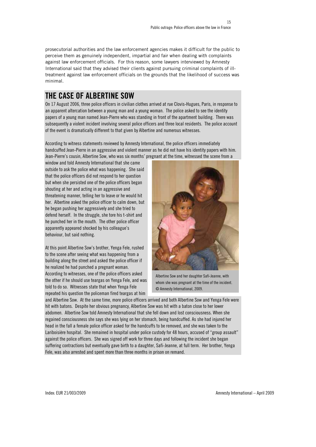prosecutorial authorities and the law enforcement agencies makes it difficult for the public to perceive them as genuinely independent, impartial and fair when dealing with complaints against law enforcement officials. For this reason, some lawyers interviewed by Amnesty International said that they advised their clients against pursuing criminal complaints of illtreatment against law enforcement officials on the grounds that the likelihood of success was minimal.

### THE CASE OF ALBERTINE SOW

On 17 August 2006, three police officers in civilian clothes arrived at rue Clovis-Hugues, Paris, in response to an apparent altercation between a young man and a young woman. The police asked to see the identity papers of a young man named Jean-Pierre who was standing in front of the apartment building. There was subsequently a violent incident involving several police officers and three local residents. The police account of the event is dramatically different to that given by Albertine and numerous witnesses.

According to witness statements reviewed by Amnesty International, the police officers immediately handcuffed Jean-Pierre in an aggressive and violent manner as he did not have his identity papers with him. Jean-Pierre's cousin, Albertine Sow, who was six months' pregnant at the time, witnessed the scene from a

window and told Amnesty International that she came outside to ask the police what was happening. She said that the police officers did not respond to her question but when she persisted one of the police officers began shouting at her and acting in an aggressive and threatening manner, telling her to leave or he would hit her. Albertine asked the police officer to calm down, but he began pushing her aggressively and she tried to defend herself. In the struggle, she tore his t-shirt and he punched her in the mouth. The other police officer apparently appeared shocked by his colleague's behaviour, but said nothing.

At this point Albertine Sow's brother, Yenga Fele, rushed to the scene after seeing what was happening from a building along the street and asked the police officer if he realized he had punched a pregnant woman. According to witnesses, one of the police officers asked the other if he should use teargas on Yenga Fele, and was told to do so. Witnesses state that when Yenga Fele repeated his question the policeman fired teargas at him



Albertine Sow and her daughter Safi-Jeanne, with whom she was pregnant at the time of the incident. © Amnesty International, 2009.

and Albertine Sow. At the same time, more police officers arrived and both Albertine Sow and Yenga Fele were hit with batons. Despite her obvious pregnancy, Albertine Sow was hit with a baton close to her lower abdomen. Albertine Sow told Amnesty International that she fell down and lost consciousness. When she regained consciousness she says she was lying on her stomach, being handcuffed. As she had injured her head in the fall a female police officer asked for the handcuffs to be removed, and she was taken to the Lariboisière hospital. She remained in hospital under police custody for 48 hours, accused of "group assault" against the police officers. She was signed off work for three days and following the incident she began suffering contractions but eventually gave birth to a daughter, Safi-Jeanne, at full term. Her brother, Yenga Fele, was also arrested and spent more than three months in prison on remand.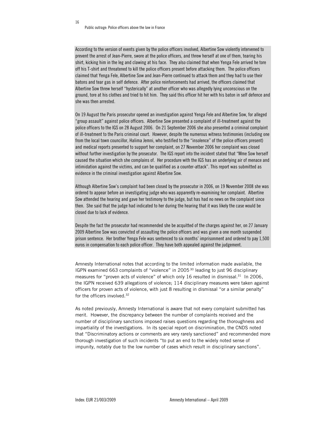16

According to the version of events given by the police officers involved, Albertine Sow violently intervened to prevent the arrest of Jean-Pierre, swore at the police officers, and threw herself at one of them, tearing his shirt, kicking him in the leg and clawing at his face. They also claimed that when Yenga Fele arrived he tore off his T-shirt and threatened to kill the police officers present before attacking them. The police officers claimed that Yenga Fele, Albertine Sow and Jean-Pierre continued to attack them and they had to use their batons and tear gas in self defence. After police reinforcements had arrived, the officers claimed that Albertine Sow threw herself "hysterically" at another officer who was allegedly lying unconscious on the ground, tore at his clothes and tried to hit him. They said this officer hit her with his baton in self defence and she was then arrested.

On 19 August the Paris prosecutor opened an investigation against Yenga Fele and Albertine Sow, for alleged "group assault" against police officers. Albertine Sow presented a complaint of ill-treatment against the police officers to the IGS on 28 August 2006. On 21 September 2006 she also presented a criminal complaint of ill-treatment to the Paris criminal court. However, despite the numerous witness testimonies (including one from the local town councillor, Halima Jemni, who testified to the "insolence" of the police officers present) and medical reports presented to support her complaint, on 27 November 2006 her complaint was closed without further investigation by the prosecutor. The IGS report into the incident stated that "Mme Sow herself caused the situation which she complains of. Her procedure with the IGS has an underlying air of menace and intimidation against the victims, and can be qualified as a counter-attack". This report was submitted as evidence in the criminal investigation against Albertine Sow.

Although Albertine Sow's complaint had been closed by the prosecutor in 2006, on 19 November 2008 she was ordered to appear before an investigating judge who was apparently re-examining her complaint. Albertine Sow attended the hearing and gave her testimony to the judge, but has had no news on the complaint since then. She said that the judge had indicated to her during the hearing that it was likely the case would be closed due to lack of evidence.

Despite the fact the prosecutor had recommended she be acquitted of the charges against her, on 27 January 2009 Albertine Sow was convicted of assaulting the police officers and was given a one month suspended prison sentence. Her brother Yenga Fele was sentenced to six months' imprisonment and ordered to pay 1,500 euros in compensation to each police officer. They have both appealed against the judgement.

Amnesty International notes that according to the limited information made available, the IGPN examined 663 complaints of "violence" in 2005 30 leading to just 96 disciplinary measures for "proven acts of violence" of which only 16 resulted in dismissal.31 In 2006, the IGPN received 639 allegations of violence; 114 disciplinary measures were taken against officers for proven acts of violence, with just 8 resulting in dismissal "or a similar penalty" for the officers involved.32

As noted previously, Amnesty International is aware that not every complaint submitted has merit. However, the discrepancy between the number of complaints received and the number of disciplinary sanctions imposed raises questions regarding the thoroughness and impartiality of the investigations. In its special report on discrimination, the CNDS noted that "Discriminatory actions or comments are very rarely sanctioned" and recommended more thorough investigation of such incidents "to put an end to the widely noted sense of impunity, notably due to the low number of cases which result in disciplinary sanctions".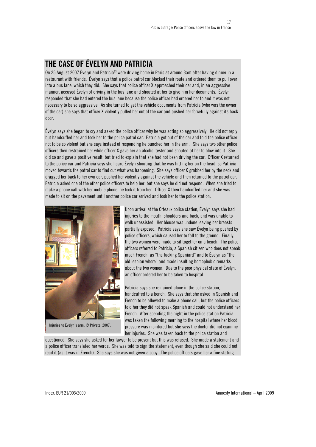### THE CASE OF ÉVELYN AND PATRICIA

On 25 August 2007 Évelyn and Patricia<sup>33</sup> were driving home in Paris at around 3am after having dinner in a restaurant with friends. Évelyn says that a police patrol car blocked their route and ordered them to pull over into a bus lane, which they did. She says that police officer X approached their car and, in an aggressive manner, accused Évelyn of driving in the bus lane and shouted at her to give him her documents. Évelyn responded that she had entered the bus lane because the police officer had ordered her to and it was not necessary to be so aggressive. As she turned to get the vehicle documents from Patricia (who was the owner of the car) she says that officer X violently pulled her out of the car and pushed her forcefully against its back door.

Évelyn says she began to cry and asked the police officer why he was acting so aggressively. He did not reply but handcuffed her and took her to the police patrol car. Patricia got out of the car and told the police officer not to be so violent but she says instead of responding he punched her in the arm. She says two other police officers then restrained her while officer X gave her an alcohol tester and shouted at her to blow into it. She did so and gave a positive result, but tried to explain that she had not been driving the car. Officer X returned to the police car and Patricia says she heard Évelyn shouting that he was hitting her on the head, so Patricia moved towards the patrol car to find out what was happening. She says officer X grabbed her by the neck and dragged her back to her own car, pushed her violently against the vehicle and then returned to the patrol car. Patricia asked one of the other police officers to help her, but she says he did not respond. When she tried to make a phone call with her mobile phone, he took it from her. Officer X then handcuffed her and she was made to sit on the pavement until another police car arrived and took her to the police station.



Injuries to Évelyn's arm. © Private, 2007.

Upon arrival at the Orteaux police station, Évelyn says she had injuries to the mouth, shoulders and back, and was unable to walk unassisted. Her blouse was undone leaving her breasts partially exposed. Patricia says she saw Évelyn being pushed by police officers, which caused her to fall to the ground. Finally, the two women were made to sit together on a bench. The police officers referred to Patricia, a Spanish citizen who does not speak much French, as "the fucking Spaniard" and to Évelyn as "the old lesbian whore" and made insulting homophobic remarks about the two women. Due to the poor physical state of Évelyn, an officer ordered her to be taken to hospital.

Patricia says she remained alone in the police station, handcuffed to a bench. She says that she asked in Spanish and French to be allowed to make a phone call, but the police officers told her they did not speak Spanish and could not understand her French. After spending the night in the police station Patricia was taken the following morning to the hospital where her blood pressure was monitored but she says the doctor did not examine her injuries. She was taken back to the police station and

questioned. She says she asked for her lawyer to be present but this was refused. She made a statement and a police officer translated her words. She was told to sign the statement, even though she said she could not read it (as it was in French). She says she was not given a copy. The police officers gave her a fine stating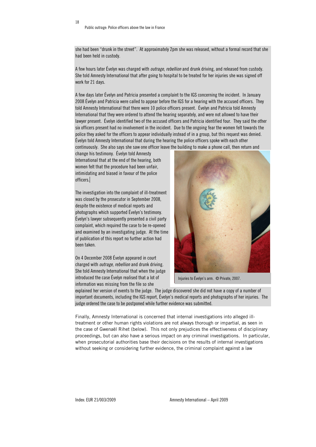she had been "drunk in the street". At approximately 2pm she was released, without a formal record that she had been held in custody.

A few hours later Évelyn was charged with outrage, rebellion and drunk driving, and released from custody. She told Amnesty International that after going to hospital to be treated for her injuries she was signed off work for 21 days.

A few days later Évelyn and Patricia presented a complaint to the IGS concerning the incident. In January 2008 Évelyn and Patricia were called to appear before the IGS for a hearing with the accused officers. They told Amnesty International that there were 10 police officers present. Évelyn and Patricia told Amnesty International that they were ordered to attend the hearing separately, and were not allowed to have their lawyer present. Évelyn identified two of the accused officers and Patricia identified four. They said the other six officers present had no involvement in the incident. Due to the ongoing fear the women felt towards the police they asked for the officers to appear individually instead of in a group, but this request was denied. Évelyn told Amnesty International that during the hearing the police officers spoke with each other continuously. She also says she saw one officer leave the building to make a phone call, then return and

change his testimony. Évelyn told Amnesty International that at the end of the hearing, both women felt that the procedure had been unfair, intimidating and biased in favour of the police officers.

The investigation into the complaint of ill-treatment was closed by the prosecutor in September 2008, despite the existence of medical reports and photographs which supported Évelyn's testimony. Évelyn's lawyer subsequently presented a civil party complaint, which required the case to be re-opened and examined by an investigating judge. At the time of publication of this report no further action had been taken.

On 4 December 2008 Évelyn appeared in court charged with *outrage, rebellion* and drunk driving. She told Amnesty International that when the judge introduced the case Évelyn realised that a lot of information was missing from the file so she



Injuries to Évelyn's arm. © Private, 2007.

explained her version of events to the judge. The judge discovered she did not have a copy of a number of important documents, including the IGS report, Évelyn's medical reports and photographs of her injuries. The judge ordered the case to be postponed while further evidence was submitted.

Finally, Amnesty International is concerned that internal investigations into alleged illtreatment or other human rights violations are not always thorough or impartial, as seen in the case of Gwenaël Rihet (below). This not only prejudices the effectiveness of disciplinary proceedings, but can also have a serious impact on any criminal investigations. In particular, when prosecutorial authorities base their decisions on the results of internal investigations without seeking or considering further evidence, the criminal complaint against a law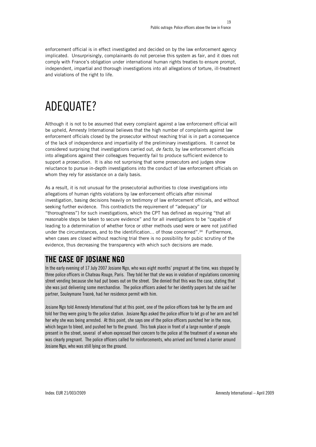enforcement official is in effect investigated and decided on by the law enforcement agency implicated. Unsurprisingly, complainants do not perceive this system as fair, and it does not comply with France's obligation under international human rights treaties to ensure prompt, independent, impartial and thorough investigations into all allegations of torture, ill-treatment and violations of the right to life.

### ADEQUATE?

Although it is not to be assumed that every complaint against a law enforcement official will be upheld, Amnesty International believes that the high number of complaints against law enforcement officials closed by the prosecutor without reaching trial is in part a consequence of the lack of independence and impartiality of the preliminary investigations. It cannot be considered surprising that investigations carried out, *de facto*, by law enforcement officials into allegations against their colleagues frequently fail to produce sufficient evidence to support a prosecution. It is also not surprising that some prosecutors and judges show reluctance to pursue in-depth investigations into the conduct of law enforcement officials on whom they rely for assistance on a daily basis.

As a result, it is not unusual for the prosecutorial authorities to close investigations into allegations of human rights violations by law enforcement officials after minimal investigation, basing decisions heavily on testimony of law enforcement officials, and without seeking further evidence. This contradicts the requirement of "adequacy" (or "thoroughness") for such investigations, which the CPT has defined as requiring "that all reasonable steps be taken to secure evidence" and for all investigations to be "capable of leading to a determination of whether force or other methods used were or were not justified under the circumstances, and to the identification... of those concerned".<sup>34</sup> Furthermore, when cases are closed without reaching trial there is no possibility for pubic scrutiny of the evidence, thus decreasing the transparency with which such decisions are made.

### THE CASE OF JOSIANE NGO

In the early evening of 17 July 2007 Josiane Ngo, who was eight months' pregnant at the time, was stopped by three police officers in Chateau Rouge, Paris. They told her that she was in violation of regulations concerning street vending because she had put boxes out on the street. She denied that this was the case, stating that she was just delivering some merchandise. The police officers asked for her identity papers but she said her partner, Souleymane Traoré, had her residence permit with him.

Josiane Ngo told Amnesty International that at this point, one of the police officers took her by the arm and told her they were going to the police station. Josiane Ngo asked the police officer to let go of her arm and tell her why she was being arrested. At this point, she says one of the police officers punched her in the nose, which began to bleed, and pushed her to the ground. This took place in front of a large number of people present in the street, several of whom expressed their concern to the police at the treatment of a woman who was clearly pregnant. The police officers called for reinforcements, who arrived and formed a barrier around Josiane Ngo, who was still lying on the ground.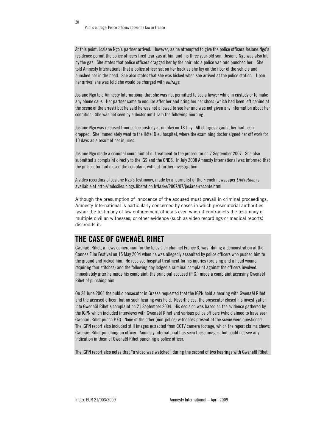At this point, Josiane Ngo's partner arrived. However, as he attempted to give the police officers Josiane Ngo's residence permit the police officers fired tear gas at him and his three year-old son. Josiane Ngo was also hit by the gas. She states that police officers dragged her by the hair into a police van and punched her. She told Amnesty International that a police officer sat on her back as she lay on the floor of the vehicle and punched her in the head. She also states that she was kicked when she arrived at the police station. Upon her arrival she was told she would be charged with *outrage*.

Josiane Ngo told Amnesty International that she was not permitted to see a lawyer while in custody or to make any phone calls. Her partner came to enquire after her and bring her her shoes (which had been left behind at the scene of the arrest) but he said he was not allowed to see her and was not given any information about her condition. She was not seen by a doctor until 1am the following morning.

Josiane Ngo was released from police custody at midday on 18 July. All charges against her had been dropped. She immediately went to the Hôtel Dieu hospital, where the examining doctor signed her off work for 10 days as a result of her injuries.

Josiane Ngo made a criminal complaint of ill-treatment to the prosecutor on 7 September 2007. She also submitted a complaint directly to the IGS and the CNDS. In July 2008 Amnesty International was informed that the prosecutor had closed the complaint without further investigation.

A video recording of Josiane Ngo's testimony, made by a journalist of the French newspaper Libération, is available at http://indociles.blogs.liberation.fr/laske/2007/07/josiane-raconte.html

Although the presumption of innocence of the accused must prevail in criminal proceedings, Amnesty International is particularly concerned by cases in which prosecutorial authorities favour the testimony of law enforcement officials even when it contradicts the testimony of multiple civilian witnesses, or other evidence (such as video recordings or medical reports) discredits it.

#### THE CASE OF GWENAËL RIHET

Gwenaël Rihet, a news cameraman for the television channel France 3, was filming a demonstration at the Cannes Film Festival on 15 May 2004 when he was allegedly assaulted by police officers who pushed him to the ground and kicked him. He received hospital treatment for his injuries (bruising and a head wound requiring four stitches) and the following day lodged a criminal complaint against the officers involved. Immediately after he made his complaint, the principal accused (P.G.) made a complaint accusing Gwenaël Rihet of punching him.

On 24 June 2004 the public prosecutor in Grasse requested that the IGPN hold a hearing with Gwenaël Rihet and the accused officer, but no such hearing was held. Nevertheless, the prosecutor closed his investigation into Gwenaël Rihet's complaint on 21 September 2004. His decision was based on the evidence gathered by the IGPN which included interviews with Gwenaël Rihet and various police officers (who claimed to have seen Gwenaël Rihet punch P.G). None of the other (non-police) witnesses present at the scene were questioned. The IGPN report also included still images extracted from CCTV camera footage, which the report claims shows Gwenaël Rihet punching an officer. Amnesty International has seen these images, but could not see any indication in them of Gwenaël Rihet punching a police officer.

The IGPN report also notes that "a video was watched" during the second of two hearings with Gwenaël Rihet,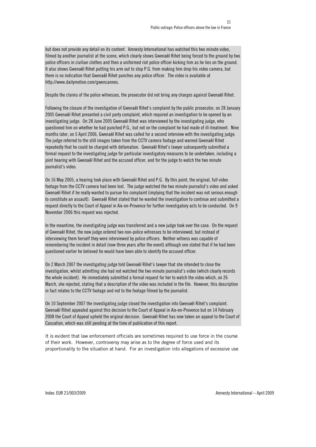but does not provide any detail on its content. Amnesty International has watched this two minute video, filmed by another journalist at the scene, which clearly shows Gwenaël Rihet being forced to the ground by two police officers in civilian clothes and then a uniformed riot police officer kicking him as he lies on the ground. It also shows Gwenaël Rihet putting his arm out to stop P.G. from making him drop his video camera, but there is no indication that Gwenaël Rihet punches any police officer. The video is available at http://www.dailymotion.com/gwencannes.

Despite the claims of the police witnesses, the prosecutor did not bring any charges against Gwenaël Rihet.

Following the closure of the investigation of Gwenaël Rihet's complaint by the public prosecutor, on 28 January 2005 Gwenaël Rihet presented a civil party complaint, which required an investigation to be opened by an investigating judge. On 28 June 2005 Gwenaël Rihet was interviewed by the investigating judge, who questioned him on whether he had punched P.G., but not on the complaint he had made of ill-treatment. Nine months later, on 5 April 2006, Gwenaël Rihet was called for a second interview with the investigating judge. The judge referred to the still images taken from the CCTV camera footage and warned Gwenaël Rihet repeatedly that he could be charged with defamation. Gwenaël Rihet's lawyer subsequently submitted a formal request to the investigating judge for particular investigatory measures to be undertaken, including a joint hearing with Gwenaël Rihet and the accused officer, and for the judge to watch the two minute journalist's video.

On 16 May 2005, a hearing took place with Gwenaël Rihet and P.G. By this point, the original, full video footage from the CCTV camera had been lost. The judge watched the two minute journalist's video and asked Gwenaël Rihet if he really wanted to pursue his complaint (implying that the incident was not serious enough to constitute an assault). Gwenaël Rihet stated that he wanted the investigation to continue and submitted a request directly to the Court of Appeal in Aix-en-Provence for further investigatory acts to be conducted. On 9 November 2006 this request was rejected.

In the meantime, the investigating judge was transferred and a new judge took over the case. On the request of Gwenaël Rihet, the new judge ordered two non-police witnesses to be interviewed, but instead of interviewing them herself they were interviewed by police officers. Neither witness was capable of remembering the incident in detail (now three years after the event) although one stated that if he had been questioned earlier he believed he would have been able to identify the accused officer.

On 2 March 2007 the investigating judge told Gwenaël Rihet's lawyer that she intended to close the investigation, whilst admitting she had not watched the two minute journalist's video (which clearly records the whole incident). He immediately submitted a formal request for her to watch the video which, on 26 March, she rejected, stating that a description of the video was included in the file. However, this description in fact relates to the CCTV footage and not to the footage filmed by the journalist.

On 10 September 2007 the investigating judge closed the investigation into Gwenaël Rihet's complaint. Gwenaël Rihet appealed against this decision to the Court of Appeal in Aix-en-Provence but on 14 February 2008 the Court of Appeal upheld the original decision. Gwenaël Rihet has now taken an appeal to the Court of Cassation, which was still pending at the time of publication of this report.

It is evident that law enforcement officials are sometimes required to use force in the course of their work. However, controversy may arise as to the degree of force used and its proportionality to the situation at hand. For an investigation into allegations of excessive use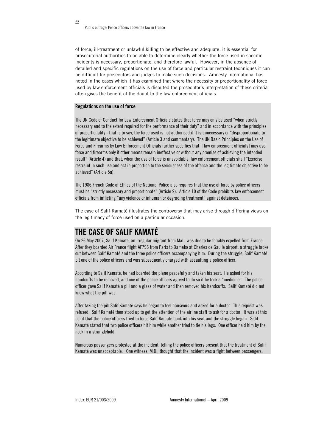of force, ill-treatment or unlawful killing to be effective and adequate, it is essential for prosecutorial authorities to be able to determine clearly whether the force used in specific incidents is necessary, proportionate, and therefore lawful. However, in the absence of detailed and specific regulations on the use of force and particular restraint techniques it can be difficult for prosecutors and judges to make such decisions. Amnesty International has noted in the cases which it has examined that where the necessity or proportionality of force used by law enforcement officials is disputed the prosecutor's interpretation of these criteria often gives the benefit of the doubt to the law enforcement officials.

#### Regulations on the use of force

The UN Code of Conduct for Law Enforcement Officials states that force may only be used "when strictly necessary and to the extent required for the performance of their duty" and in accordance with the principles of proportionality - that is to say, the force used is not authorised if it is unnecessary or "disproportionate to the legitimate objective to be achieved" (Article 3 and commentary). The UN Basic Principles on the Use of Force and Firearms by Law Enforcement Officials further specifies that "[law enforcement officials] may use force and firearms only if other means remain ineffective or without any promise of achieving the intended result" (Article 4) and that, when the use of force is unavoidable, law enforcement officials shall "Exercise restraint in such use and act in proportion to the seriousness of the offence and the legitimate objective to be achieved" (Article 5a).

The 1986 French Code of Ethics of the National Police also requires that the use of force by police officers must be "strictly necessary and proportionate" (Article 9). Article 10 of the Code prohibits law enforcement officials from inflicting "any violence or inhuman or degrading treatment" against detainees.

The case of Salif Kamaté illustrates the controversy that may arise through differing views on the legitimacy of force used on a particular occasion.

#### THE CASE OF SALIF KAMATÉ

On 26 May 2007, Salif Kamaté, an irregular migrant from Mali, was due to be forcibly expelled from France. After they boarded Air France flight AF796 from Paris to Bamako at Charles de Gaulle airport, a struggle broke out between Salif Kamaté and the three police officers accompanying him. During the struggle, Salif Kamaté bit one of the police officers and was subsequently charged with assaulting a police officer.

According to Salif Kamaté, he had boarded the plane peacefully and taken his seat. He asked for his handcuffs to be removed, and one of the police officers agreed to do so if he took a "medicine". The police officer gave Salif Kamaté a pill and a glass of water and then removed his handcuffs. Salif Kamaté did not know what the pill was.

After taking the pill Salif Kamaté says he began to feel nauseous and asked for a doctor. This request was refused. Salif Kamaté then stood up to get the attention of the airline staff to ask for a doctor. It was at this point that the police officers tried to force Salif Kamaté back into his seat and the struggle began. Salif Kamaté stated that two police officers hit him while another tried to tie his legs. One officer held him by the neck in a stranglehold.

Numerous passengers protested at the incident, telling the police officers present that the treatment of Salif Kamaté was unacceptable. One witness, M.D., thought that the incident was a fight between passengers,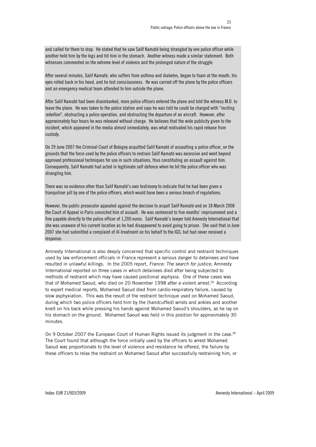and called for them to stop. He stated that he saw Salif Kamaté being strangled by one police officer while another held him by the legs and hit him in the stomach. Another witness made a similar statement. Both witnesses commented on the extreme level of violence and the prolonged nature of the struggle.

After several minutes, Salif Kamaté, who suffers from asthma and diabetes, began to foam at the mouth, his eyes rolled back in his head, and he lost consciousness. He was carried off the plane by the police officers and an emergency medical team attended to him outside the plane.

After Salif Kamaté had been disembarked, more police officers entered the plane and told the witness M.D. to leave the plane. He was taken to the police station and says he was told he could be charged with "inciting rebellion", obstructing a police operation, and obstructing the departure of an aircraft. However, after approximately four hours he was released without charge. He believes that the wide publicity given to the incident, which appeared in the media almost immediately, was what motivated his rapid release from custody.

On 29 June 2007 the Criminal Court of Bobigny acquitted Salif Kamaté of assaulting a police officer, on the grounds that the force used by the police officers to restrain Salif Kamaté was excessive and went beyond approved professional techniques for use in such situations, thus constituting an assault against him. Consequently, Salif Kamaté had acted in legitimate self defence when he bit the police officer who was strangling him.

There was no evidence other than Salif Kamaté's own testimony to indicate that he had been given a tranquiliser pill by one of the police officers, which would have been a serious breach of regulations.

However, the public prosecutor appealed against the decision to acquit Salif Kamaté and on 18 March 2008 the Court of Appeal in Paris convicted him of assault. He was sentenced to five months' imprisonment and a fine payable directly to the police officer of 1,200 euros. Salif Kamaté's lawyer told Amnesty International that she was unaware of his current location as he had disappeared to avoid going to prison. She said that in June 2007 she had submitted a complaint of ill-treatment on his behalf to the IGS, but had never received a response.

Amnesty International is also deeply concerned that specific control and restraint techniques used by law enforcement officials in France represent a serious danger to detainees and have resulted in unlawful killings. In the 2005 report, France: The search for justice, Amnesty International reported on three cases in which detainees died after being subjected to methods of restraint which may have caused positional asphyxia. One of these cases was that of Mohamed Saoud, who died on 20 November 1998 after a violent arrest.<sup>35</sup> According to expert medical reports, Mohamed Saoud died from cardio-respiratory failure, caused by slow asphyxiation. This was the result of the restraint technique used on Mohamed Saoud, during which two police officers held him by the (handcuffed) wrists and ankles and another knelt on his back while pressing his hands against Mohamed Saoud's shoulders, as he lay on his stomach on the ground. Mohamed Saoud was held in this position for approximately 30 minutes.

On 9 October 2007 the European Court of Human Rights issued its judgment in the case.<sup>36</sup> The Court found that although the force initially used by the officers to arrest Mohamed Saoud was proportionate to the level of violence and resistance he offered, the failure by these officers to relax the restraint on Mohamed Saoud after successfully restraining him, or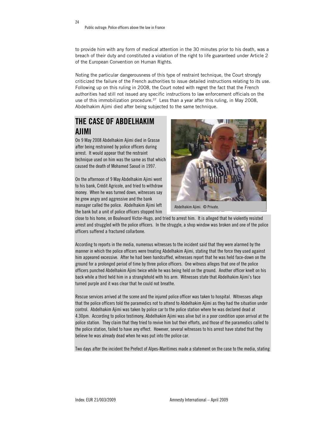24

to provide him with any form of medical attention in the 30 minutes prior to his death, was a breach of their duty and constituted a violation of the right to life guaranteed under Article 2 of the European Convention on Human Rights.

Noting the particular dangerousness of this type of restraint technique, the Court strongly criticized the failure of the French authorities to issue detailed instructions relating to its use. Following up on this ruling in 2008, the Court noted with regret the fact that the French authorities had still not issued any specific instructions to law enforcement officials on the use of this immobilization procedure.<sup>37</sup> Less than a year after this ruling, in May 2008, Abdelhakim Ajimi died after being subjected to the same technique.

### THE CASE OF ABDELHAKIM AJIMI

On 9 May 2008 Abdelhakim Ajimi died in Grasse after being restrained by police officers during arrest. It would appear that the restraint technique used on him was the same as that which caused the death of Mohamed Saoud in 1997.

On the afternoon of 9 May Abdelhakim Ajimi went to his bank, Crédit Agricole, and tried to withdraw money. When he was turned down, witnesses say he grew angry and aggressive and the bank manager called the police. Abdelhakim Ajimi left the bank but a unit of police officers stopped him



Abdelhakim Ajimi. © Private.

close to his home, on Boulevard Victor-Hugo, and tried to arrest him. It is alleged that he violently resisted arrest and struggled with the police officers. In the struggle, a shop window was broken and one of the police officers suffered a fractured collarbone.

According to reports in the media, numerous witnesses to the incident said that they were alarmed by the manner in which the police officers were treating Abdelhakim Ajimi, stating that the force they used against him appeared excessive. After he had been handcuffed, witnesses report that he was held face-down on the ground for a prolonged period of time by three police officers. One witness alleges that one of the police officers punched Abdelhakim Ajimi twice while he was being held on the ground. Another officer knelt on his back while a third held him in a stranglehold with his arm. Witnesses state that Abdelhakim Ajimi's face turned purple and it was clear that he could not breathe.

Rescue services arrived at the scene and the injured police officer was taken to hospital. Witnesses allege that the police officers told the paramedics not to attend to Abdelhakim Ajimi as they had the situation under control. Abdelhakim Ajimi was taken by police car to the police station where he was declared dead at 4.30pm. According to police testimony, Abdelhakim Ajimi was alive but in a poor condition upon arrival at the police station. They claim that they tried to revive him but their efforts, and those of the paramedics called to the police station, failed to have any effect. However, several witnesses to his arrest have stated that they believe he was already dead when he was put into the police car.

Two days after the incident the Prefect of Alpes-Maritimes made a statement on the case to the media, stating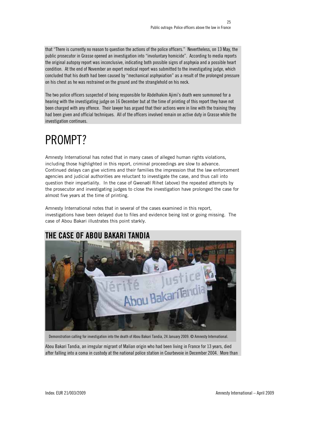that "There is currently no reason to question the actions of the police officers." Nevertheless, on 13 May, the public prosecutor in Grasse opened an investigation into "involuntary homicide". According to media reports the original autopsy report was inconclusive, indicating both possible signs of asphyxia and a possible heart condition. At the end of November an expert medical report was submitted to the investigating judge, which concluded that his death had been caused by "mechanical asphyxiation" as a result of the prolonged pressure on his chest as he was restrained on the ground and the stranglehold on his neck.

The two police officers suspected of being responsible for Abdelhakim Ajimi's death were summoned for a hearing with the investigating judge on 16 December but at the time of printing of this report they have not been charged with any offence. Their lawyer has argued that their actions were in line with the training they had been given and official techniques. All of the officers involved remain on active duty in Grasse while the investigation continues.

## PROMPT?

Amnesty International has noted that in many cases of alleged human rights violations, including those highlighted in this report, criminal proceedings are slow to advance. Continued delays can give victims and their families the impression that the law enforcement agencies and judicial authorities are reluctant to investigate the case, and thus call into question their impartiality. In the case of Gwenaël Rihet (above) the repeated attempts by the prosecutor and investigating judges to close the investigation have prolonged the case for almost five years at the time of printing.

Amnesty International notes that in several of the cases examined in this report, investigations have been delayed due to files and evidence being lost or going missing. The case of Abou Bakari illustrates this point starkly.



Demonstration calling for investigation into the death of Abou Bakari Tandia, 24 January 2009. © Amnesty International.

Abou Bakari Tandia, an irregular migrant of Malian origin who had been living in France for 13 years, died after falling into a coma in custody at the national police station in Courbevoie in December 2004. More than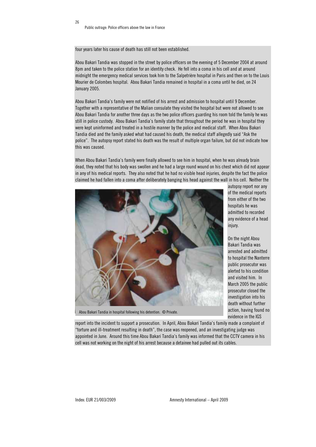four years later his cause of death has still not been established.

Abou Bakari Tandia was stopped in the street by police officers on the evening of 5 December 2004 at around 8pm and taken to the police station for an identity check. He fell into a coma in his cell and at around midnight the emergency medical services took him to the Salpetrière hospital in Paris and then on to the Louis Mourier de Colombes hospital. Abou Bakari Tandia remained in hospital in a coma until he died, on 24 January 2005.

Abou Bakari Tandia's family were not notified of his arrest and admission to hospital until 9 December. Together with a representative of the Malian consulate they visited the hospital but were not allowed to see Abou Bakari Tandia for another three days as the two police officers guarding his room told the family he was still in police custody. Abou Bakari Tandia's family state that throughout the period he was in hospital they were kept uninformed and treated in a hostile manner by the police and medical staff. When Abou Bakari Tandia died and the family asked what had caused his death, the medical staff allegedly said "Ask the police". The autopsy report stated his death was the result of multiple organ failure, but did not indicate how this was caused.

When Abou Bakari Tandia's family were finally allowed to see him in hospital, when he was already brain dead, they noted that his body was swollen and he had a large round wound on his chest which did not appear in any of his medical reports. They also noted that he had no visible head injuries, despite the fact the police claimed he had fallen into a coma after deliberately banging his head against the wall in his cell. Neither the



Abou Bakari Tandia in hospital following his detention. © Private.

autopsy report nor any of the medical reports from either of the two hospitals he was admitted to recorded any evidence of a head injury.

On the night Abou Bakari Tandia was arrested and admitted to hospital the Nanterre public prosecutor was alerted to his condition and visited him. In March 2005 the public prosecutor closed the investigation into his death without further action, having found no evidence in the IGS

report into the incident to support a prosecution. In April, Abou Bakari Tandia's family made a complaint of "torture and ill-treatment resulting in death", the case was reopened, and an investigating judge was appointed in June. Around this time Abou Bakari Tandia's family was informed that the CCTV camera in his cell was not working on the night of his arrest because a detainee had pulled out its cables.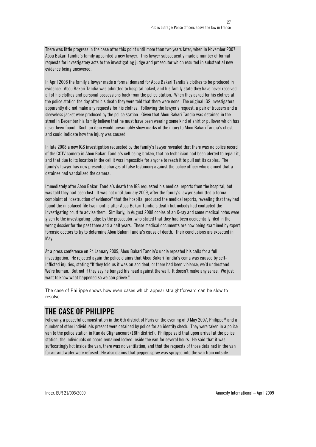There was little progress in the case after this point until more than two years later, when in November 2007 Abou Bakari Tandia's family appointed a new lawyer. This lawyer subsequently made a number of formal requests for investigatory acts to the investigating judge and prosecutor which resulted in substantial new evidence being uncovered.

In April 2008 the family's lawyer made a formal demand for Abou Bakari Tandia's clothes to be produced in evidence. Abou Bakari Tandia was admitted to hospital naked, and his family state they have never received all of his clothes and personal possessions back from the police station. When they asked for his clothes at the police station the day after his death they were told that there were none. The original IGS investigators apparently did not make any requests for his clothes. Following the lawyer's request, a pair of trousers and a sleeveless jacket were produced by the police station. Given that Abou Bakari Tandia was detained in the street in December his family believe that he must have been wearing some kind of shirt or pullover which has never been found. Such an item would presumably show marks of the injury to Abou Bakari Tandia's chest and could indicate how the injury was caused.

In late 2008 a new IGS investigation requested by the family's lawyer revealed that there was no police record of the CCTV camera in Abou Bakari Tandia's cell being broken, that no technician had been alerted to repair it, and that due to its location in the cell it was impossible for anyone to reach it to pull out its cables. The family's lawyer has now presented charges of false testimony against the police officer who claimed that a detainee had vandalised the camera.

Immediately after Abou Bakari Tandia's death the IGS requested his medical reports from the hospital, but was told they had been lost. It was not until January 2009, after the family's lawyer submitted a formal complaint of "destruction of evidence" that the hospital produced the medical reports, revealing that they had found the misplaced file two months after Abou Bakari Tandia's death but nobody had contacted the investigating court to advise them. Similarly, in August 2008 copies of an X-ray and some medical notes were given to the investigating judge by the prosecutor, who stated that they had been accidentally filed in the wrong dossier for the past three and a half years. These medical documents are now being examined by expert forensic doctors to try to determine Abou Bakari Tandia's cause of death. Their conclusions are expected in May.

At a press conference on 24 January 2009, Abou Bakari Tandia's uncle repeated his calls for a full investigation. He rejected again the police claims that Abou Bakari Tandia's coma was caused by selfinflicted injuries, stating "If they told us it was an accident, or there had been violence, we'd understand. We're human. But not if they say he banged his head against the wall. It doesn't make any sense. We just want to know what happened so we can grieve."

The case of Philippe shows how even cases which appear straightforward can be slow to resolve.

### THE CASE OF PHILIPPE

Following a peaceful demonstration in the 6th district of Paris on the evening of 9 May 2007, Philippe<sup>38</sup> and a number of other individuals present were detained by police for an identity check. They were taken in a police van to the police station in Rue de Clignancourt (18th district). Philippe said that upon arrival at the police station, the individuals on board remained locked inside the van for several hours. He said that it was suffocatingly hot inside the van, there was no ventilation, and that the requests of those detained in the van for air and water were refused. He also claims that pepper-spray was sprayed into the van from outside.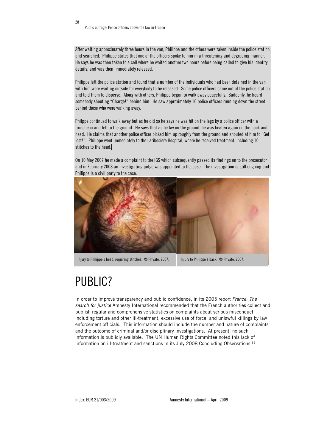After waiting approximately three hours in the van, Philippe and the others were taken inside the police station and searched. Philippe states that one of the officers spoke to him in a threatening and degrading manner. He says he was then taken to a cell where he waited another two hours before being called to give his identity details, and was then immediately released.

Philippe left the police station and found that a number of the individuals who had been detained in the van with him were waiting outside for everybody to be released. Some police officers came out of the police station and told them to disperse. Along with others, Philippe began to walk away peacefully. Suddenly, he heard somebody shouting "Charge!" behind him. He saw approximately 10 police officers running down the street behind those who were walking away.

Philppe continued to walk away but as he did so he says he was hit on the legs by a police officer with a truncheon and fell to the ground. He says that as he lay on the ground, he was beaten again on the back and head. He claims that another police officer picked him up roughly from the ground and shouted at him to "Get lost!". Philippe went immediately to the Laribosière Hospital, where he received treatment, including 10 stitches to the head.

On 10 May 2007 he made a complaint to the IGS which subsequently passed its findings on to the prosecutor and in February 2008 an investigating judge was appointed to the case. The investigation is still ongoing and Philippe is a civil party to the case.



Injury to Philippe's head, requiring stitches. © Private, 2007. Injury to Philippe's back. © Private, 2007.

### PUBLIC?

In order to improve transparency and public confidence, in its 2005 report France: The search for justice Amnesty International recommended that the French authorities collect and publish regular and comprehensive statistics on complaints about serious misconduct, including torture and other ill-treatment, excessive use of force, and unlawful killings by law enforcement officials. This information should include the number and nature of complaints and the outcome of criminal and/or disciplinary investigations. At present, no such information is publicly available. The UN Human Rights Committee noted this lack of information on ill-treatment and sanctions in its July 2008 Concluding Observations.39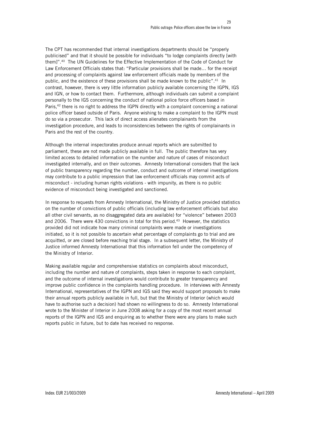The CPT has recommended that internal investigations departments should be "properly publicised" and that it should be possible for individuals "to lodge complaints directly [with them]".40 The UN Guidelines for the Effective Implementation of the Code of Conduct for Law Enforcement Officials states that: "Particular provisions shall be made… for the receipt and processing of complaints against law enforcement officials made by members of the public, and the existence of these provisions shall be made known to the public".<sup>41</sup> In contrast, however, there is very little information publicly available concerning the IGPN, IGS and IGN, or how to contact them. Furthermore, although individuals can submit a complaint personally to the IGS concerning the conduct of national police force officers based in Paris,<sup>42</sup> there is no right to address the IGPN directly with a complaint concerning a national police officer based outside of Paris. Anyone wishing to make a complaint to the IGPN must do so via a prosecutor. This lack of direct access alienates complainants from the investigation procedure, and leads to inconsistencies between the rights of complainants in Paris and the rest of the country.

Although the internal inspectorates produce annual reports which are submitted to parliament, these are not made publicly available in full. The public therefore has very limited access to detailed information on the number and nature of cases of misconduct investigated internally, and on their outcomes. Amnesty International considers that the lack of public transparency regarding the number, conduct and outcome of internal investigations may contribute to a public impression that law enforcement officials may commit acts of misconduct - including human rights violations - with impunity, as there is no public evidence of misconduct being investigated and sanctioned.

In response to requests from Amnesty International, the Ministry of Justice provided statistics on the number of convictions of public officials (including law enforcement officials but also all other civil servants, as no disaggregated data are available) for "violence" between 2003 and 2006. There were 430 convictions in total for this period.<sup>43</sup> However, the statistics provided did not indicate how many criminal complaints were made or investigations initiated, so it is not possible to ascertain what percentage of complaints go to trial and are acquitted, or are closed before reaching trial stage. In a subsequent letter, the Ministry of Justice informed Amnesty International that this information fell under the competency of the Ministry of Interior.

Making available regular and comprehensive statistics on complaints about misconduct, including the number and nature of complaints, steps taken in response to each complaint, and the outcome of internal investigations would contribute to greater transparency and improve public confidence in the complaints handling procedure. In interviews with Amnesty International, representatives of the IGPN and IGS said they would support proposals to make their annual reports publicly available in full, but that the Ministry of Interior (which would have to authorise such a decision) had shown no willingness to do so. Amnesty International wrote to the Minister of Interior in June 2008 asking for a copy of the most recent annual reports of the IGPN and IGS and enquiring as to whether there were any plans to make such reports public in future, but to date has received no response.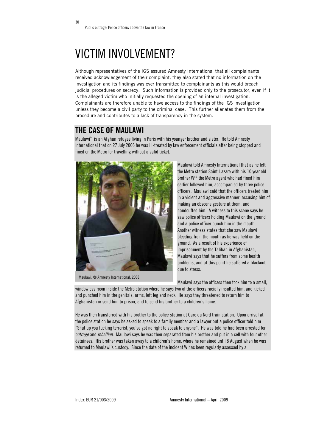30

### VICTIM INVOLVEMENT?

Although representatives of the IGS assured Amnesty International that all complainants received acknowledgement of their complaint, they also stated that no information on the investigation and its findings was ever transmitted to complainants as this would breach judicial procedures on secrecy. Such information is provided only to the prosecutor, even if it is the alleged victim who initially requested the opening of an internal investigation. Complainants are therefore unable to have access to the findings of the IGS investigation unless they become a civil party to the criminal case. This further alienates them from the procedure and contributes to a lack of transparency in the system.

#### THE CASE OF MAULAWI

Maulawi44 is an Afghan refugee living in Paris with his younger brother and sister. He told Amnesty International that on 27 July 2006 he was ill-treated by law enforcement officials after being stopped and fined on the Metro for travelling without a valid ticket.



Maulawi. © Amnesty International, 2008.

Maulawi told Amnesty International that as he left the Metro station Saint-Lazare with his 10 year old brother W45, the Metro agent who had fined him earlier followed him, accompanied by three police officers. Maulawi said that the officers treated him in a violent and aggressive manner, accusing him of making an obscene gesture at them, and handcuffed him. A witness to this scene says he saw police officers holding Maulawi on the ground and a police officer punch him in the mouth. Another witness states that she saw Maulawi bleeding from the mouth as he was held on the ground. As a result of his experience of imprisonment by the Taliban in Afghanistan, Maulawi says that he suffers from some health problems, and at this point he suffered a blackout due to stress.

Maulawi says the officers then took him to a small,

windowless room inside the Metro station where he says two of the officers racially insulted him, and kicked and punched him in the genitals, arms, left leg and neck. He says they threatened to return him to Afghanistan or send him to prison, and to send his brother to a children's home.

He was then transferred with his brother to the police station at Gare du Nord train station. Upon arrival at the police station he says he asked to speak to a family member and a lawyer but a police officer told him "Shut up you fucking terrorist, you've got no right to speak to anyone". He was told he had been arrested for outrage and rebellion. Maulawi says he was then separated from his brother and put in a cell with four other detainees. His brother was taken away to a children's home, where he remained until 8 August when he was returned to Maulawi's custody. Since the date of the incident W has been regularly assessed by a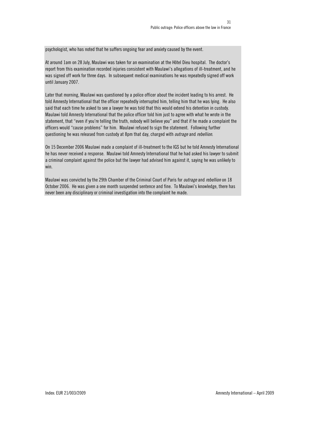psychologist, who has noted that he suffers ongoing fear and anxiety caused by the event.

At around 1am on 28 July, Maulawi was taken for an examination at the Hôtel Dieu hospital. The doctor's report from this examination recorded injuries consistent with Maulawi's allegations of ill-treatment, and he was signed off work for three days. In subsequent medical examinations he was repeatedly signed off work until January 2007.

Later that morning, Maulawi was questioned by a police officer about the incident leading to his arrest. He told Amnesty International that the officer repeatedly interrupted him, telling him that he was lying. He also said that each time he asked to see a lawyer he was told that this would extend his detention in custody. Maulawi told Amnesty International that the police officer told him just to agree with what he wrote in the statement, that "even if you're telling the truth, nobody will believe you" and that if he made a complaint the officers would "cause problems" for him. Maulawi refused to sign the statement. Following further questioning he was released from custody at 8pm that day, charged with *outrage* and *rebellion*.

On 15 December 2006 Maulawi made a complaint of ill-treatment to the IGS but he told Amnesty International he has never received a response. Maulawi told Amnesty International that he had asked his lawyer to submit a criminal complaint against the police but the lawyer had advised him against it, saying he was unlikely to win.

Maulawi was convicted by the 29th Chamber of the Criminal Court of Paris for *outrage* and *rebellion* on 18 October 2006. He was given a one month suspended sentence and fine. To Maulawi's knowledge, there has never been any disciplinary or criminal investigation into the complaint he made.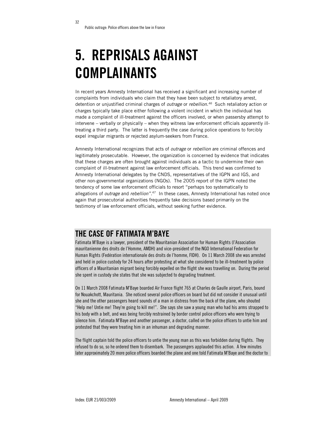## 5. REPRISALS AGAINST COMPLAINANTS

In recent years Amnesty International has received a significant and increasing number of complaints from individuals who claim that they have been subject to retaliatory arrest, detention or unjustified criminal charges of *outrage* or *rebellion*.<sup>46</sup> Such retaliatory action or charges typically take place either following a violent incident in which the individual has made a complaint of ill-treatment against the officers involved, or when passersby attempt to intervene – verbally or physically – when they witness law enforcement officials apparently illtreating a third party. The latter is frequently the case during police operations to forcibly expel irregular migrants or rejected asylum-seekers from France.

Amnesty International recognizes that acts of *outrage* or *rebellion* are criminal offences and legitimately prosecutable. However, the organization is concerned by evidence that indicates that these charges are often brought against individuals as a tactic to undermine their own complaint of ill-treatment against law enforcement officials. This trend was confirmed to Amnesty International delegates by the CNDS, representatives of the IGPN and IGS, and other non-governmental organizations (NGOs). The 2005 report of the IGPN noted the tendency of some law enforcement officials to resort "perhaps too systematically to allegations of *outrage* and *rebellion*".<sup>47</sup> In these cases, Amnesty International has noted once again that prosecutorial authorities frequently take decisions based primarily on the testimony of law enforcement officials, without seeking further evidence.

#### THE CASE OF FATIMATA M'BAYE

Fatimata M'Baye is a lawyer, president of the Mauritanian Association for Human Rights (l'Association mauritanienne des droits de l'Homme, AMDH) and vice-president of the NGO International Federation for Human Rights (Fedération internationale des droits de l'homme, FIDH). On 11 March 2008 she was arrested and held in police custody for 24 hours after protesting at what she considered to be ill-treatment by police officers of a Mauritanian migrant being forcibly expelled on the flight she was travelling on. During the period she spent in custody she states that she was subjected to degrading treatment.

On 11 March 2008 Fatimata M'Baye boarded Air France flight 765 at Charles de Gaulle airport, Paris, bound for Nouakchott, Mauritania. She noticed several police officers on board but did not consider it unusual until she and the other passengers heard sounds of a man in distress from the back of the plane, who shouted "Help me! Untie me! They're going to kill me!". She says she saw a young man who had his arms strapped to his body with a belt, and was being forcibly restrained by border control police officers who were trying to silence him. Fatimata M'Baye and another passenger, a doctor, called on the police officers to untie him and protested that they were treating him in an inhuman and degrading manner.

The flight captain told the police officers to untie the young man as this was forbidden during flights. They refused to do so, so he ordered them to disembark. The passengers applauded this action. A few minutes later approximately 20 more police officers boarded the plane and one told Fatimata M'Baye and the doctor to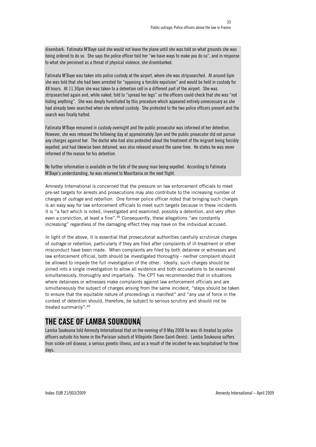disembark. Fatimata M'Baye said she would not leave the plane until she was told on what grounds she was being ordered to do so. She says the police officer told her "we have ways to make you do so", and in response to what she perceived as a threat of physical violence, she disembarked.

Fatimata M'Baye was taken into police custody at the airport, where she was stripsearched. At around 6pm she was told that she had been arrested for "opposing a forcible expulsion" and would be held in custody for 48 hours. At 11.30pm she was taken to a detention cell in a different part of the airport. She was stripsearched again and, while naked, told to "spread her legs" so the officers could check that she was "not hiding anything". She was deeply humiliated by this procedure which appeared entirely unnecessary as she had already been searched when she entered custody. She protested to the two police officers present and the search was finally halted.

Fatimata M'Baye remained in custody overnight and the public prosecutor was informed of her detention. However, she was released the following day at approximately 3pm and the public prosecutor did not pursue any charges against her. The doctor who had also protested about the treatment of the migrant being forcibly expelled, and had likewise been detained, was also released around the same time. He states he was never informed of the reason for his detention.

No further information is available on the fate of the young man being expelled. According to Fatimata M'Baye's understanding, he was returned to Mauritania on the next flight.

Amnesty International is concerned that the pressure on law enforcement officials to meet pre-set targets for arrests and prosecutions may also contribute to the increasing number of charges of outrage and rebellion. One former police officer noted that bringing such charges is an easy way for law enforcement officials to meet such targets because in these incidents it is "a fact which is noted, investigated and examined, possibly a detention, and very often even a conviction, at least a fine".<sup>48</sup> Consequently, these allegations "are constantly increasing" regardless of the damaging effect they may have on the individual accused.

In light of the above, it is essential that prosecutorial authorities carefully scrutinize charges of outrage or rebellion, particularly if they are filed after complaints of ill-treatment or other misconduct have been made. When complaints are filed by both detainee or witnesses and law enforcement official, both should be investigated thoroughly - neither complaint should be allowed to impede the full investigation of the other. Ideally, such charges should be joined into a single investigation to allow all evidence and both accusations to be examined simultaneously, thoroughly and impartially. The CPT has recommended that in situations where detainees or witnesses make complaints against law enforcement officials and are simultaneously the subject of charges arising from the same incident, "steps should be taken to ensure that the equitable nature of proceedings is manifest" and "any use of force in the context of detention should, therefore, be subject to serious scrutiny and should not be treated summarily".49

### THE CASE OF LAMBA SOUKOUNA

Lamba Soukouna told Amnesty International that on the evening of 8 May 2008 he was ill-treated by police officers outside his home in the Parisian suburb of Villepinte (Seine-Saint-Denis). Lamba Soukouna suffers from sickle cell disease, a serious genetic illness, and as a result of the incident he was hospitalised for three days.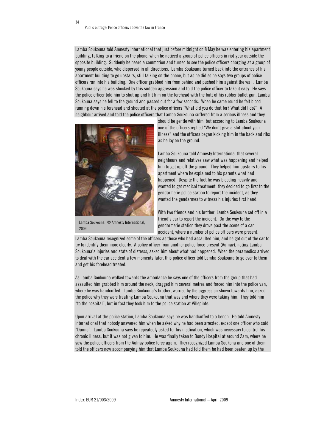34

Lamba Soukouna told Amnesty International that just before midnight on 8 May he was entering his apartment building, talking to a friend on the phone, when he noticed a group of police officers in riot gear outside the opposite building. Suddenly he heard a commotion and turned to see the police officers charging at a group of young people outside, who dispersed in all directions. Lamba Soukouna turned back into the entrance of his apartment building to go upstairs, still talking on the phone, but as he did so he says two groups of police officers ran into his building. One officer grabbed him from behind and pushed him against the wall. Lamba Soukouna says he was shocked by this sudden aggression and told the police officer to take it easy. He says the police officer told him to shut up and hit him on the forehead with the butt of his rubber bullet gun. Lamba Soukouna says he fell to the ground and passed out for a few seconds. When he came round he felt blood running down his forehead and shouted at the police officers "What did you do that for? What did I do?" A neighbour arrived and told the police officers that Lamba Soukouna suffered from a serious illness and they



Lamba Soukouna. © Amnesty International, 2009.

should be gentle with him, but according to Lamba Soukouna one of the officers replied "We don't give a shit about your illness" and the officers began kicking him in the back and ribs as he lay on the ground.

Lamba Soukouna told Amnesty International that several neighbours and relatives saw what was happening and helped him to get up off the ground. They helped him upstairs to his apartment where he explained to his parents what had happened. Despite the fact he was bleeding heavily and wanted to get medical treatment, they decided to go first to the gendarmerie police station to report the incident, as they wanted the gendarmes to witness his injuries first hand.

With two friends and his brother, Lamba Soukouna set off in a friend's car to report the incident. On the way to the gendarmerie station they drove past the scene of a car accident, where a number of police officers were present.

Lamba Soukouna recognized some of the officers as those who had assaulted him, and he got out of the car to try to identify them more clearly. A police officer from another police force present (Aulnay), noting Lamba Soukouna's injuries and state of distress, asked him about what had happened. When the paramedics arrived to deal with the car accident a few moments later, this police officer told Lamba Soukouna to go over to them and get his forehead treated.

As Lamba Soukouna walked towards the ambulance he says one of the officers from the group that had assaulted him grabbed him around the neck, dragged him several metres and forced him into the police van, where he was handcuffed. Lamba Soukouna's brother, worried by the aggression shown towards him, asked the police why they were treating Lamba Soukouna that way and where they were taking him. They told him "to the hospital", but in fact they took him to the police station at Villepinte.

Upon arrival at the police station, Lamba Soukouna says he was handcuffed to a bench. He told Amnesty International that nobody answered him when he asked why he had been arrested, except one officer who said "Dunno". Lamba Soukouna says he repeatedly asked for his medication, which was necessary to control his chronic illness, but it was not given to him. He was finally taken to Bondy Hospital at around 2am, where he saw the police officers from the Aulnay police force again. They recognized Lamba Soukona and one of them told the officers now accompanying him that Lamba Soukouna had told them he had been beaten up by the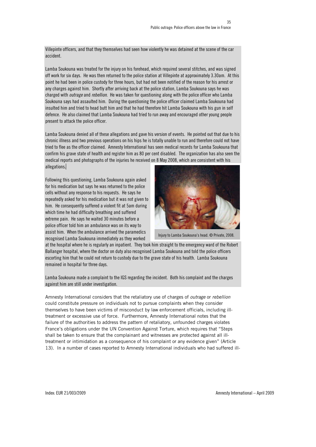Villepinte officers, and that they themselves had seen how violently he was detained at the scene of the car accident.

Lamba Soukouna was treated for the injury on his forehead, which required several stitches, and was signed off work for six days. He was then returned to the police station at Villepinte at approximately 3.30am. At this point he had been in police custody for three hours, but had not been notified of the reason for his arrest or any charges against him. Shortly after arriving back at the police station, Lamba Soukouna says he was charged with *outrage* and *rebellion*. He was taken for questioning along with the police officer who Lamba Soukouna says had assaulted him. During the questioning the police officer claimed Lamba Soukouna had insulted him and tried to head butt him and that he had therefore hit Lamba Soukouna with his gun in self defence. He also claimed that Lamba Soukouna had tried to run away and encouraged other young people present to attack the police officer.

Lamba Soukouna denied all of these allegations and gave his version of events. He pointed out that due to his chronic illness and two previous operations on his hips he is totally unable to run and therefore could not have tried to flee as the officer claimed. Amnesty International has seen medical records for Lamba Soukouna that confirm his grave state of health and register him as 80 per cent disabled. The organization has also seen the medical reports and photographs of the injuries he received on 8 May 2008, which are consistent with his allegations.

Following this questioning, Lamba Soukouna again asked for his medication but says he was returned to the police cells without any response to his requests. He says he repeatedly asked for his medication but it was not given to him. He consequently suffered a violent fit at 5am during which time he had difficulty breathing and suffered extreme pain. He says he waited 30 minutes before a police officer told him an ambulance was on its way to assist him. When the ambulance arrived the paramedics recognised Lamba Soukouna immediately as they worked



Injury to Lamba Soukouna's head. © Private, 2008.

at the hospital where he is regularly an inpatient. They took him straight to the emergency ward of the Robert Ballanger hospital, where the doctor on duty also recognised Lamba Soukouna and told the police officers escorting him that he could not return to custody due to the grave state of his health. Lamba Soukouna remained in hospital for three days.

Lamba Soukouna made a complaint to the IGS regarding the incident. Both his complaint and the charges against him are still under investigation.

Amnesty International considers that the retaliatory use of charges of *outrage* or *rebellion* could constitute pressure on individuals not to pursue complaints when they consider themselves to have been victims of misconduct by law enforcement officials, including illtreatment or excessive use of force. Furthermore, Amnesty International notes that the failure of the authorities to address the pattern of retaliatory, unfounded charges violates France's obligations under the UN Convention Against Torture, which requires that "Steps shall be taken to ensure that the complainant and witnesses are protected against all illtreatment or intimidation as a consequence of his complaint or any evidence given" (Article 13). In a number of cases reported to Amnesty International individuals who had suffered ill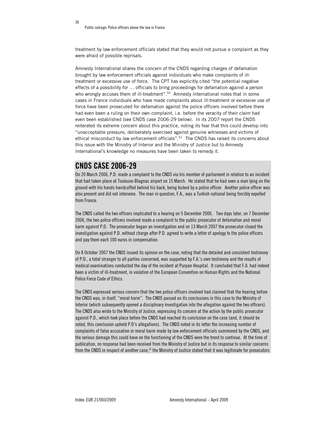treatment by law enforcement officials stated that they would not pursue a complaint as they were afraid of possible reprisals.

Amnesty International shares the concern of the CNDS regarding charges of defamation brought by law enforcement officials against individuals who make complaints of illtreatment or excessive use of force. The CPT has explicitly cited "the potential negative effects of a possibility for … officials to bring proceedings for defamation against a person who wrongly accuses them of ill-treatment".<sup>50</sup> Amnesty International notes that in some cases in France individuals who have made complaints about ill-treatment or excessive use of force have been prosecuted for defamation against the police officers involved before there had even been a ruling on their own complaint, i.e. before the veracity of their claim had even been established (see CNDS case 2006-29 below). In its 2007 report the CNDS reiterated its extreme concern about this practice, noting its fear that this could develop into "unacceptable pressure, deliberately exercised against genuine witnesses and victims of ethical misconduct by law enforcement officials".<sup>51</sup> The CNDS has raised its concerns about this issue with the Ministry of Interior and the Ministry of Justice but to Amnesty International's knowledge no measures have been taken to remedy it.

#### CNDS CASE 2006-29

On 20 March 2006, P.D. made a complaint to the CNDS via his member of parliament in relation to an incident that had taken place at Toulouse-Blagnac airport on 15 March. He stated that he had seen a man lying on the ground with his hands handcuffed behind his back, being kicked by a police officer. Another police officer was also present and did not intervene. The man in question, F.A., was a Turkish national being forcibly expelled from France.

The CNDS called the two officers implicated to a hearing on 5 December 2006. Two days later, on 7 December 2006, the two police officers involved made a complaint to the public prosecutor of defamation and moral harm against P.D. The prosecutor began an investigation and on 13 March 2007 the prosecutor closed the investigation against P.D. without charge after P.D. agreed to write a letter of apology to the police officers and pay them each 100 euros in compensation.

On 8 October 2007 the CNDS issued its opinion on the case, noting that the detailed and consistent testimony of P.D., a total stranger to all parties concerned, was supported by F.A.'s own testimony and the results of medical examinations conducted the day of the incident at Purpan Hospital. It concluded that F.A. had indeed been a victim of ill-treatment, in violation of the European Convention on Human Rights and the National Police Force Code of Ethics.

The CNDS expressed serious concern that the two police officers involved had claimed that the hearing before the CNDS was, in itself, "moral harm". The CNDS passed on its conclusions in this case to the Ministry of Interior (which subsequently opened a disciplinary investigation into the allegation against the two officers). The CNDS also wrote to the Ministry of Justice, expressing its concern at the action by the public prosecutor against P.D., which took place before the CNDS had reached its conclusion on the case (and, it should be noted, this conclusion upheld P.D's allegations). The CNDS noted in its letter the increasing number of complaints of false accusation or moral harm made by law enforcement officials summoned by the CNDS, and the serious damage this could have on the functioning of the CNDS were the trend to continue. At the time of publication, no response had been received from the Ministry of Justice but in its response to similar concerns from the CNDS in respect of another case,<sup>52</sup> the Ministry of Justice stated that it was legitimate for prosecutors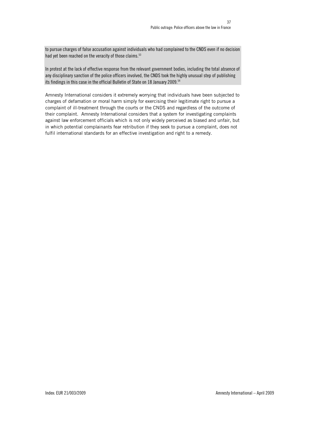to pursue charges of false accusation against individuals who had complained to the CNDS even if no decision had yet been reached on the veracity of those claims.<sup>53</sup>

In protest at the lack of effective response from the relevant government bodies, including the total absence of any disciplinary sanction of the police officers involved, the CNDS took the highly unusual step of publishing its findings in this case in the official Bulletin of State on 18 January 2009.54

Amnesty International considers it extremely worrying that individuals have been subjected to charges of defamation or moral harm simply for exercising their legitimate right to pursue a complaint of ill-treatment through the courts or the CNDS and regardless of the outcome of their complaint. Amnesty International considers that a system for investigating complaints against law enforcement officials which is not only widely perceived as biased and unfair, but in which potential complainants fear retribution if they seek to pursue a complaint, does not fulfil international standards for an effective investigation and right to a remedy.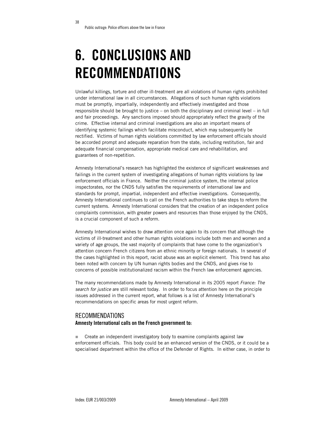## 6. CONCLUSIONS AND RECOMMENDATIONS

Unlawful killings, torture and other ill-treatment are all violations of human rights prohibited under international law in all circumstances. Allegations of such human rights violations must be promptly, impartially, independently and effectively investigated and those responsible should be brought to justice – on both the disciplinary and criminal level – in full and fair proceedings. Any sanctions imposed should appropriately reflect the gravity of the crime. Effective internal and criminal investigations are also an important means of identifying systemic failings which facilitate misconduct, which may subsequently be rectified. Victims of human rights violations committed by law enforcement officials should be accorded prompt and adequate reparation from the state, including restitution, fair and adequate financial compensation, appropriate medical care and rehabilitation, and guarantees of non-repetition.

Amnesty International's research has highlighted the existence of significant weaknesses and failings in the current system of investigating allegations of human rights violations by law enforcement officials in France. Neither the criminal justice system, the internal police inspectorates, nor the CNDS fully satisfies the requirements of international law and standards for prompt, impartial, independent and effective investigations. Consequently, Amnesty International continues to call on the French authorities to take steps to reform the current systems. Amnesty International considers that the creation of an independent police complaints commission, with greater powers and resources than those enjoyed by the CNDS, is a crucial component of such a reform.

Amnesty International wishes to draw attention once again to its concern that although the victims of ill-treatment and other human rights violations include both men and women and a variety of age groups, the vast majority of complaints that have come to the organization's attention concern French citizens from an ethnic minority or foreign nationals. In several of the cases highlighted in this report, racist abuse was an explicit element. This trend has also been noted with concern by UN human rights bodies and the CNDS, and gives rise to concerns of possible institutionalized racism within the French law enforcement agencies.

The many recommendations made by Amnesty International in its 2005 report France: The search for justice are still relevant today. In order to focus attention here on the principle issues addressed in the current report, what follows is a list of Amnesty International's recommendations on specific areas for most urgent reform.

#### RECOMMENDATIONS Amnesty International calls on the French government to:

 Create an independent investigatory body to examine complaints against law enforcement officials. This body could be an enhanced version of the CNDS, or it could be a specialised department within the office of the Defender of Rights. In either case, in order to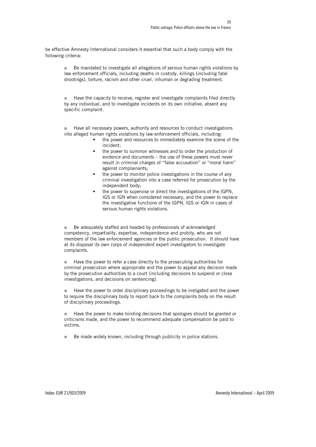be effective Amnesty International considers it essential that such a body comply with the following criteria:

■ Be mandated to investigate all allegations of serious human rights violations by law enforcement officials, including deaths in custody, killings (including fatal shootings), torture, racism and other cruel, inhuman or degrading treatment.

■ Have the capacity to receive, register and investigate complaints filed directly by any individual, and to investigate incidents on its own initiative, absent any specific complaint.

 Have all necessary powers, authority and resources to conduct investigations into alleged human rights violations by law enforcement officials, including:

- the power and resources to immediately examine the scene of the incident;
- the power to summon witnesses and to order the production of evidence and documents – the use of these powers must never result in criminal charges of "false accusation" or "moral harm" against complainants;
- the power to monitor police investigations in the course of any criminal investigation into a case referred for prosecution by the independent body;
- the power to supervise or direct the investigations of the IGPN, IGS or IGN when considered necessary, and the power to replace the investigative functions of the IGPN, IGS or IGN in cases of serious human rights violations.

■ Be adequately staffed and headed by professionals of acknowledged competency, impartiality, expertise, independence and probity, who are not members of the law enforcement agencies or the public prosecution. It should have at its disposal its own corps of independent expert investigators to investigate complaints.

■ Have the power to refer a case directly to the prosecuting authorities for criminal prosecution where appropriate and the power to appeal any decision made by the prosecution authorities to a court (including decisions to suspend or close investigations, and decisions on sentencing).

■ Have the power to order disciplinary proceedings to be instigated and the power to require the disciplinary body to report back to the complaints body on the result of disciplinary proceedings.

Have the power to make binding decisions that apologies should be granted or criticisms made, and the power to recommend adequate compensation be paid to victims.

Be made widely known, including through publicity in police stations.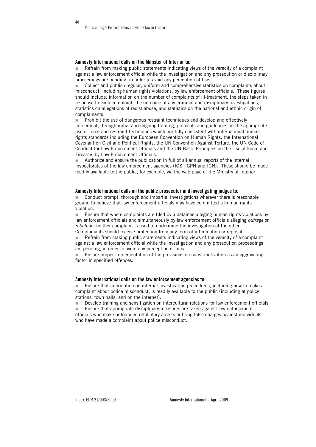#### Amnesty International calls on the Minister of Interior to:

 Refrain from making public statements indicating views of the veracity of a complaint against a law enforcement official while the investigation and any prosecution or disciplinary proceedings are pending, in order to avoid any perception of bias.

 Collect and publish regular, uniform and comprehensive statistics on complaints about misconduct, including human rights violations, by law enforcement officials. These figures should include: information on the number of complaints of ill-treatment, the steps taken in response to each complaint, the outcome of any criminal and disciplinary investigations, statistics on allegations of racist abuse, and statistics on the national and ethnic origin of complainants.

**Prohibit the use of dangerous restraint techniques and develop and effectively** implement, through initial and ongoing training, protocols and guidelines on the appropriate use of force and restraint techniques which are fully consistent with international human rights standards including the European Convention on Human Rights, the International Covenant on Civil and Political Rights, the UN Convention Against Torture, the UN Code of Conduct for Law Enforcement Officials and the UN Basic Principles on the Use of Force and Firearms by Law Enforcement Officials.

 Authorize and ensure the publication in full of all annual reports of the internal inspectorates of the law enforcement agencies (IGS, IGPN and IGN). These should be made readily available to the public, for example, via the web page of the Ministry of Interior.

#### Amnesty International calls on the public prosecutor and investigating judges to:

 Conduct prompt, thorough and impartial investigations wherever there is reasonable ground to believe that law enforcement officials may have committed a human rights violation.

 Ensure that where complaints are filed by a detainee alleging human rights violations by law enforcement officials and simultaneously by law enforcement officials alleging *outrage* or rebellion, neither complaint is used to undermine the investigation of the other. Complainants should receive protection from any form of intimidation or reprisal.

 Refrain from making public statements indicating views of the veracity of a complaint against a law enforcement official while the investigation and any prosecution proceedings are pending, in order to avoid any perception of bias.

 Ensure proper implementation of the provisions on racist motivation as an aggravating factor in specified offences.

#### Amnesty International calls on the law enforcement agencies to:

 Ensure that information on internal investigation procedures, including how to make a complaint about police misconduct, is readily available to the public (including at police stations, town halls, and on the internet).

Develop training and sensitization on intercultural relations for law enforcement officials.

**Ensure that appropriate disciplinary measures are taken against law enforcement** officials who make unfounded retaliatory arrests or bring false charges against individuals who have made a complaint about police misconduct.

40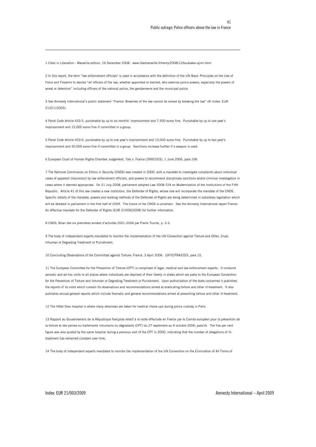1 Cited in Liberation - Marseille edition, 16 December 2008. www.libemarseille.fr/henry/2008/12/boubaker-ajimi.html

 $\overline{a}$ 

2 In this report, the term ''law enforcement officials" is used in accordance with the definition of the UN Basic Principles on the Use of Force and Firearms to denote "all officers of the law, whether appointed or elected, who exercise police powers, especially the powers of arrest or detention" including officers of the national police, the gendarmerie and the municipal police.

3 See Amnesty International's public statement "France: Breaches of the law cannot be solved by breaking the law" (AI Index: EUR 21/011/2005).

4 Penal Code Article 433-5, punishable by up to six months' imprisonment and 7,500 euros fine. Punishable by up to one year's imprisonment and 15,000 euros fine if committed in a group.

5 Penal Code Article 433-6, punishable by up to one year's imprisonment and 15,000 euros fine. Punishable by up to two year's imprisonment and 30,000 euros fine if committed in a group. Sanctions increase further if a weapon is used.

6 European Court of Human Rights Chamber Judgement, Taïs v. France (39922/03), 1 June 2006, para.106.

7 The National Commission on Ethics in Security (CNDS) was created in 2000, with a mandate to investigate complaints about individual cases of apparent misconduct by law enforcement officials, and powers to recommend disciplinary sanctions and/or criminal investigation in cases where it deemed appropriate. On 21 July 2008, parliament adopted Law 2008-724 on Modernisation of the Institutions of the Fifth Republic. Article 41 of this law creates a new institution, the Defender of Rights, whose role will incorporate the mandate of the CNDS. Specific details of the mandate, powers and working methods of the Defender of Rights are being determined in subsidiary legislation which will be debated in parliament in the first half of 2009. The future of the CNDS is uncertain. See the Amnesty International report France: An effective mandate for the Defender of Rights (EUR 21/006/2008) for further information.

8 CNDS, Bilan des six premières années d'activités 2001-2006 par Pierre Truche, p. 2-3.

9 The body of independent experts mandated to monitor the implementation of the UN Convention against Torture and Other, Cruel, Inhuman or Degrading Treatment or Punishment.

10 Concluding Observations of the Committee against Torture: France, 3 April 2006. CAT/C/FRA/CO/3, para 15.

11 The European Committee for the Prevention of Torture (CPT) is comprised of legal, medical and law enforcement experts. It conducts periodic and ad hoc visits to all places where individuals are deprived of their liberty in states which are party to the European Convention for the Prevention of Torture and Inhuman or Degrading Treatment or Punishment. Upon authorisation of the state concerned it publishes the reports of its visits which contain its observations and recommendations aimed at eradicating torture and other ill-treatment. It also publishes annual general reports which include thematic and general recommendations aimed at preventing torture and other ill-treatment.

12 The Hôtel Dieu hospital is where many detainees are taken for medical check-ups during police custody in Paris.

13 Rapport au Gouvernement de la République française relatif à la visite effectuée en France par le Comite européen pour la prévention de la torture et des peines ou traitements inhumains ou dégradants (CPT) du 27 septembre au 9 octubre 2006, para16. The five per cent figure was also quoted by the same hospital during a previous visit of the CPT in 2000, indicating that the number of allegations of illtreatment has remained constant over time.

14 The body of independent experts mandated to monitor the implementation of the UN Convention on the Elimination of All Forms of

Index: EUR 21/003/2009 Amnesty International – April 2009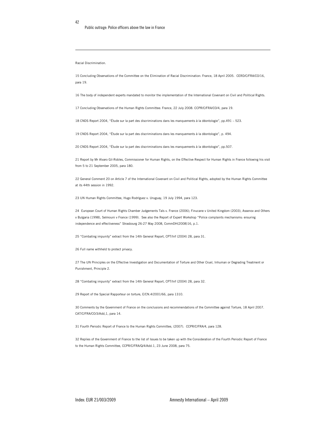Racial Discrimination.

42

 $\overline{a}$ 

15 Concluding Observations of the Committee on the Elimination of Racial Discrimination: France, 18 April 2005. CERD/C/FRA/CO/16, para 19.

16 The body of independent experts mandated to monitor the implementation of the International Covenant on Civil and Political Rights.

17 Concluding Observations of the Human Rights Committee: France, 22 July 2008. CCPR/C/FRA/CO/4, para 19.

18 CNDS Report 2004, "Étude sur la part des discriminations dans les manquements à la déontologie", pp.491 – 523.

19 CNDS Report 2004, "Étude sur la part des discriminations dans les manquements à la déontologie", p. 494.

20 CNDS Report 2004, "Étude sur la part des discriminations dans les manquements à la déontologie", pp.507.

21 Report by Mr Alvaro Gil-Robles, Commissioner for Human Rights, on the Effective Respect for Human Rights in France following his visit from 5 to 21 September 2005, para 180.

22 General Comment 20 on Article 7 of the International Covenant on Civil and Political Rights, adopted by the Human Rights Committee at its 44th session in 1992.

23 UN Human Rights Committee, Hugo Rodríguez v. Uruguay, 19 July 1994, para 123.

24 European Court of Human Rights Chamber Judgements Taïs v. France (2006); Finucane v United Kingdom (2003), Assenov and Others v Bulgaria (1998), Selmouni v France (1999). See also the Report of Expert Workshop "Police complaints mechanisms: ensuring independence and effectiveness" Strasbourg 26-27 May 2008, CommDH(2008)16, p.1.

25 "Combating impunity" extract from the 14th General Report, CPT/Inf (2004) 28, para 31.

26 Full name withheld to protect privacy.

27 The UN Principles on the Effective Investigation and Documentation of Torture and Other Cruel, Inhuman or Degrading Treatment or Punishment, Principle 2.

28 "Combating impunity" extract from the 14th General Report, CPT/Inf (2004) 28, para 32.

29 Report of the Special Rapporteur on torture, E/CN.4/2001/66, para 1310.

30 Comments by the Government of France on the conclusions and recommendations of the Committee against Torture, 18 April 2007. CAT/C/FRA/CO/3/Add,1, para 14.

31 Fourth Periodic Report of France to the Human Rights Committee, (2007). CCPR/C/FRA/4, para 128.

32 Replies of the Government of France to the list of Issues to be taken up with the Consideration of the Fourth Periodic Report of France to the Human Rights Committee, CCPR/C/FRA/Q/4/Add.1, 23 June 2008, para 75.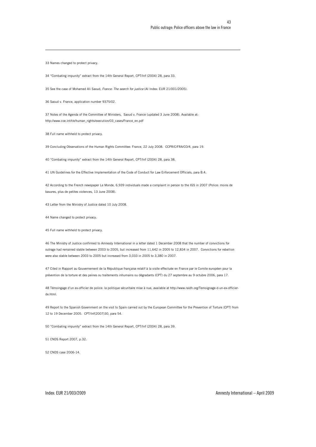33 Names changed to protect privacy.

 $\overline{a}$ 

34 "Combating impunity" extract from the 14th General Report, CPT/Inf (2004) 28, para 33.

35 See the case of Mohamed Ali Saoud, France: The search for justice (AI Index: EUR 21/001/2005).

36 Saoud v. France, application number 9375/02.

37 Notes of the Agenda of the Committee of Ministers, Saoud v. France (updated 3 June 2008). Available at: http://www.coe.int/t/e/human\_rights/execution/03\_cases/France\_en.pdf

38 Full name withheld to protect privacy.

39 Concluding Observations of the Human Rights Committee: France, 22 July 2008. CCPR/C/FRA/CO/4, para 19.

40 "Combating impunity" extract from the 14th General Report, CPT/Inf (2004) 28, para 38.

41 UN Guidelines for the Effective Implementation of the Code of Conduct for Law Enforcement Officials, para B.4.

42 According to the French newspaper Le Monde, 6,939 individuals made a complaint in person to the IGS in 2007 (Police: moins de bavures, plus de petites violences, 13 June 2008).

43 Letter from the Ministry of Justice dated 10 July 2008.

44 Name changed to protect privacy.

45 Full name withheld to protect privacy.

46 The Ministry of Justice confirmed to Amnesty International in a letter dated 1 December 2008 that the number of convictions for outrage had remained stable between 2003 to 2005, but increased from 11,642 in 2005 to 12,834 in 2007. Convictions for rebellion were also stable between 2003 to 2005 but increased from 3,033 in 2005 to 3,380 in 2007.

47 Cited in Rapport au Gouvernement de la République française relatif à la visite effectuée en France par le Comite européen pour la prévention de la torture et des peines ou traitements inhumains ou dégradants (CPT) du 27 septembre au 9 octubre 2006, para 17.

48 Témoingage d'un ex-officier de police: la politique sécuritaire mise à nue, available at http://www.raidh.org/Temoignage-d-un-ex-officierde.html.

49 Report to the Spanish Government on the visit to Spain carried out by the European Committee for the Prevention of Torture (CPT) from 12 to 19 December 2005. CPT/Inf(2007)30, para 54.

50 "Combating impunity" extract from the 14th General Report, CPT/Inf (2004) 28, para 39.

51 CNDS Report 2007, p.32.

52 CNDS case 2006-14.

Index: EUR 21/003/2009 Amnesty International – April 2009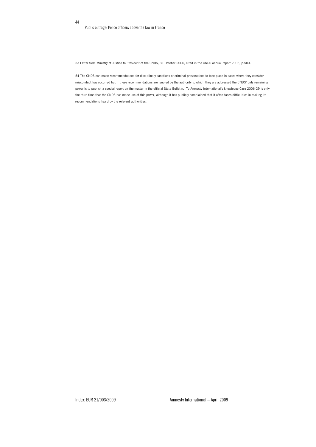44

 $\overline{a}$ 

53 Letter from Ministry of Justice to President of the CNDS, 31 October 2006, cited in the CNDS annual report 2006, p.503.

54 The CNDS can make recommendations for disciplinary sanctions or criminal prosecutions to take place in cases where they consider misconduct has occurred but if these recommendations are ignored by the authority to which they are addressed the CNDS' only remaining power is to publish a special report on the matter in the official State Bulletin. To Amnesty International's knowledge Case 2006-29 is only the third time that the CNDS has made use of this power, although it has publicly complained that it often faces difficulties in making its recommendations heard by the relevant authorities.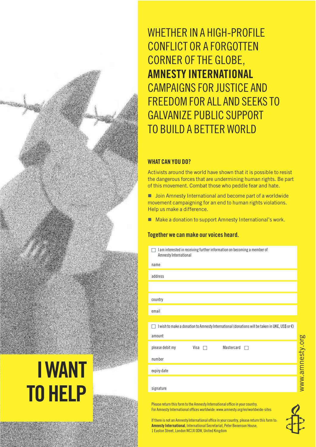WHETHER IN A HIGH-PROFILE CONFLICT OR A FORGOTTEN CORNER OF THE GLOBE, AMNESTY INTERNATIONAL CAMPAIGNS FOR JUSTICE AND FREEDOM FOR ALL AND SEEKS TO GALVANIZE PUBLIC SUPPORT TO BUILD A BETTER WORLD

#### WHAT CAN YOU DO?

Activists around the world have shown that it is possible to resist the dangerous forces that are undermining human rights. Be part of this movement. Combat those who peddle fear and hate.

**I** Join Amnesty International and become part of a worldwide movement campaigning for an end to human rights violations. Help us make a difference.

■ Make a donation to support Amnesty International's work.

#### Together we can make our voices heard.

| $\Box$ I am interested in receiving further information on becoming a member of |
|---------------------------------------------------------------------------------|
| Amnesty International                                                           |
|                                                                                 |

| name                                                                                                     |
|----------------------------------------------------------------------------------------------------------|
| address                                                                                                  |
|                                                                                                          |
| country                                                                                                  |
| email                                                                                                    |
|                                                                                                          |
| I wish to make a donation to Amnesty International (donations will be taken in UK£, US\$ or €)<br>$\sim$ |
| amount                                                                                                   |
| please debit my<br>Mastercard<br>Visa $\Box$<br>$\sqrt{2}$                                               |
| number                                                                                                   |
| expiry date                                                                                              |
|                                                                                                          |
| signature                                                                                                |

Please return this form to the Amnesty International office in your country. For Amnesty International offices worldwide: www.amnesty.org/en/worldwide-sites

If there is not an Amnesty International office in your country, please return this form to: Amnesty International, International Secretariat, Peter Benenson House, 1 Easton Street, London WC1X 0DW, United Kingdom



# IWANT TO HELP